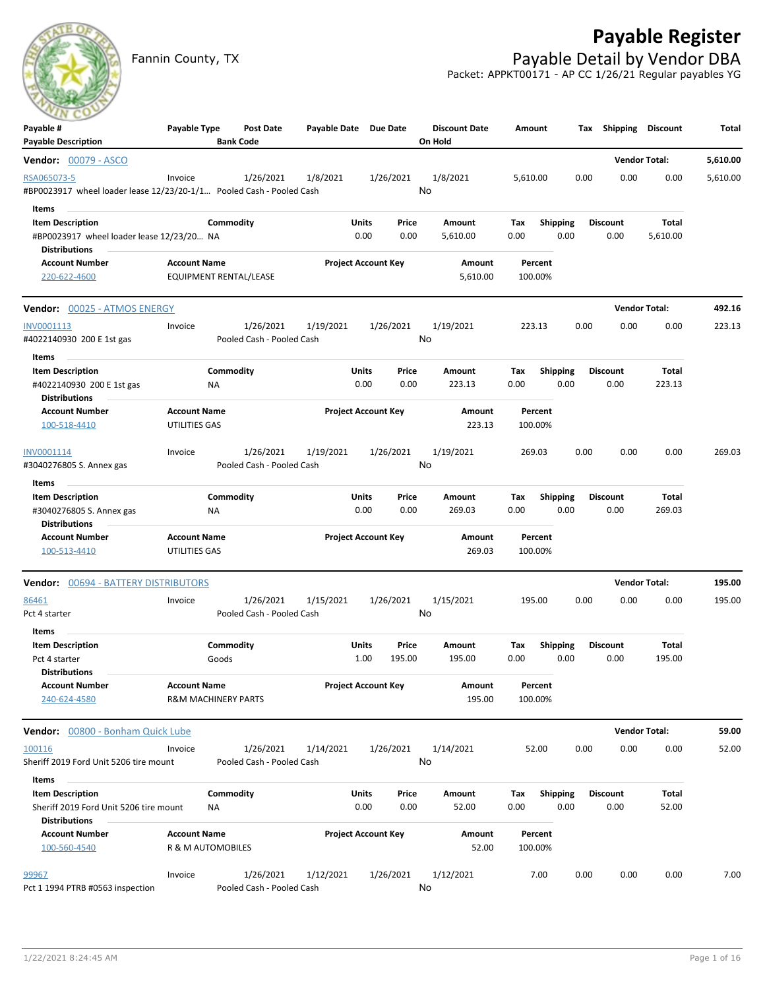# **Payable Register**



Fannin County, TX **Payable Detail by Vendor DBA** Packet: APPKT00171 - AP CC 1/26/21 Regular payables YG

| Payable #                                                            | Payable Type        | <b>Post Date</b>               | Payable Date Due Date |                                | <b>Discount Date</b> | Amount                         |      | Tax Shipping            | Discount             | Total    |
|----------------------------------------------------------------------|---------------------|--------------------------------|-----------------------|--------------------------------|----------------------|--------------------------------|------|-------------------------|----------------------|----------|
| <b>Payable Description</b>                                           |                     | <b>Bank Code</b>               |                       |                                | On Hold              |                                |      |                         |                      |          |
| <b>Vendor: 00079 - ASCO</b>                                          |                     |                                |                       |                                |                      |                                |      |                         | <b>Vendor Total:</b> | 5,610.00 |
| RSA065073-5                                                          | Invoice             | 1/26/2021                      | 1/8/2021              | 1/26/2021                      | 1/8/2021             | 5,610.00                       | 0.00 | 0.00                    | 0.00                 | 5,610.00 |
| #BP0023917 wheel loader lease 12/23/20-1/1 Pooled Cash - Pooled Cash |                     |                                |                       |                                | No                   |                                |      |                         |                      |          |
| Items                                                                |                     |                                |                       |                                |                      |                                |      |                         |                      |          |
| <b>Item Description</b><br>#BP0023917 wheel loader lease 12/23/20 NA |                     | Commodity                      |                       | Units<br>Price<br>0.00<br>0.00 | Amount<br>5,610.00   | <b>Shipping</b><br>Tax<br>0.00 | 0.00 | <b>Discount</b><br>0.00 | Total<br>5,610.00    |          |
| <b>Distributions</b>                                                 |                     |                                |                       |                                |                      |                                |      |                         |                      |          |
| <b>Account Number</b>                                                | <b>Account Name</b> |                                |                       | <b>Project Account Key</b>     | Amount               | Percent                        |      |                         |                      |          |
| 220-622-4600                                                         |                     | EQUIPMENT RENTAL/LEASE         |                       |                                | 5,610.00             | 100.00%                        |      |                         |                      |          |
| Vendor: 00025 - ATMOS ENERGY                                         |                     |                                |                       |                                |                      |                                |      |                         | <b>Vendor Total:</b> | 492.16   |
| INV0001113                                                           | Invoice             | 1/26/2021                      | 1/19/2021             | 1/26/2021                      | 1/19/2021            | 223.13                         | 0.00 | 0.00                    | 0.00                 | 223.13   |
| #4022140930 200 E 1st gas                                            |                     | Pooled Cash - Pooled Cash      |                       |                                | No                   |                                |      |                         |                      |          |
| Items                                                                |                     |                                |                       |                                |                      |                                |      |                         |                      |          |
| <b>Item Description</b>                                              |                     | Commodity                      |                       | Units<br>Price                 | Amount               | <b>Shipping</b><br>Tax         |      | <b>Discount</b>         | Total                |          |
| #4022140930 200 E 1st gas                                            |                     | NA                             |                       | 0.00<br>0.00                   | 223.13               | 0.00                           | 0.00 | 0.00                    | 223.13               |          |
| <b>Distributions</b>                                                 |                     |                                |                       |                                |                      |                                |      |                         |                      |          |
| <b>Account Number</b>                                                | <b>Account Name</b> |                                |                       | <b>Project Account Key</b>     | Amount               | Percent                        |      |                         |                      |          |
| 100-518-4410                                                         | UTILITIES GAS       |                                |                       |                                | 223.13               | 100.00%                        |      |                         |                      |          |
| INV0001114                                                           | Invoice             | 1/26/2021                      | 1/19/2021             | 1/26/2021                      | 1/19/2021            | 269.03                         | 0.00 | 0.00                    | 0.00                 | 269.03   |
| #3040276805 S. Annex gas                                             |                     | Pooled Cash - Pooled Cash      |                       |                                | No                   |                                |      |                         |                      |          |
| Items                                                                |                     |                                |                       |                                |                      |                                |      |                         |                      |          |
| <b>Item Description</b>                                              |                     | Commodity                      |                       | Units<br>Price                 | Amount               | <b>Shipping</b><br>Tax         |      | <b>Discount</b>         | Total                |          |
| #3040276805 S. Annex gas                                             |                     | NA.                            |                       | 0.00<br>0.00                   | 269.03               | 0.00                           | 0.00 | 0.00                    | 269.03               |          |
| <b>Distributions</b>                                                 |                     |                                |                       |                                |                      |                                |      |                         |                      |          |
| <b>Account Number</b>                                                | <b>Account Name</b> |                                |                       | <b>Project Account Key</b>     | Amount               | Percent                        |      |                         |                      |          |
| 100-513-4410                                                         | UTILITIES GAS       |                                |                       |                                | 269.03               | 100.00%                        |      |                         |                      |          |
| Vendor: 00694 - BATTERY DISTRIBUTORS                                 |                     |                                |                       |                                |                      |                                |      |                         | <b>Vendor Total:</b> | 195.00   |
| 86461                                                                | Invoice             | 1/26/2021                      | 1/15/2021             | 1/26/2021                      | 1/15/2021            | 195.00                         | 0.00 | 0.00                    | 0.00                 | 195.00   |
| Pct 4 starter                                                        |                     | Pooled Cash - Pooled Cash      |                       |                                | No                   |                                |      |                         |                      |          |
| Items                                                                |                     |                                |                       |                                |                      |                                |      |                         |                      |          |
| <b>Item Description</b>                                              |                     | Commodity                      |                       | Units<br>Price                 | Amount               | <b>Shipping</b><br>Тах         |      | <b>Discount</b>         | Total                |          |
| Pct 4 starter<br><b>Distributions</b>                                |                     | Goods                          |                       | 1.00<br>195.00                 | 195.00               | 0.00                           | 0.00 | 0.00                    | 195.00               |          |
| <b>Account Number</b>                                                | <b>Account Name</b> |                                |                       | <b>Project Account Key</b>     | Amount               | Percent                        |      |                         |                      |          |
| 240-624-4580                                                         |                     | <b>R&amp;M MACHINERY PARTS</b> |                       |                                | 195.00               | 100.00%                        |      |                         |                      |          |
| Vendor: 00800 - Bonham Quick Lube                                    |                     |                                |                       |                                |                      |                                |      |                         | <b>Vendor Total:</b> | 59.00    |
| 100116                                                               | Invoice             | 1/26/2021                      | 1/14/2021             | 1/26/2021                      | 1/14/2021            | 52.00                          | 0.00 | 0.00                    | 0.00                 | 52.00    |
| Sheriff 2019 Ford Unit 5206 tire mount                               |                     | Pooled Cash - Pooled Cash      |                       |                                | No                   |                                |      |                         |                      |          |
| Items                                                                |                     |                                |                       |                                |                      |                                |      |                         |                      |          |
| <b>Item Description</b><br>Sheriff 2019 Ford Unit 5206 tire mount    |                     | Commodity<br>ΝA                |                       | Units<br>Price<br>0.00<br>0.00 | Amount<br>52.00      | Tax<br>Shipping<br>0.00        | 0.00 | <b>Discount</b><br>0.00 | Total<br>52.00       |          |
| <b>Distributions</b>                                                 |                     |                                |                       |                                |                      |                                |      |                         |                      |          |
| <b>Account Number</b>                                                | <b>Account Name</b> |                                |                       | <b>Project Account Key</b>     | Amount               | Percent                        |      |                         |                      |          |
| 100-560-4540                                                         |                     | R & M AUTOMOBILES              |                       |                                | 52.00                | 100.00%                        |      |                         |                      |          |
| 99967                                                                | Invoice             | 1/26/2021                      | 1/12/2021             | 1/26/2021                      | 1/12/2021            | 7.00                           | 0.00 | 0.00                    | 0.00                 | 7.00     |
| Pct 1 1994 PTRB #0563 inspection                                     |                     | Pooled Cash - Pooled Cash      |                       |                                | No                   |                                |      |                         |                      |          |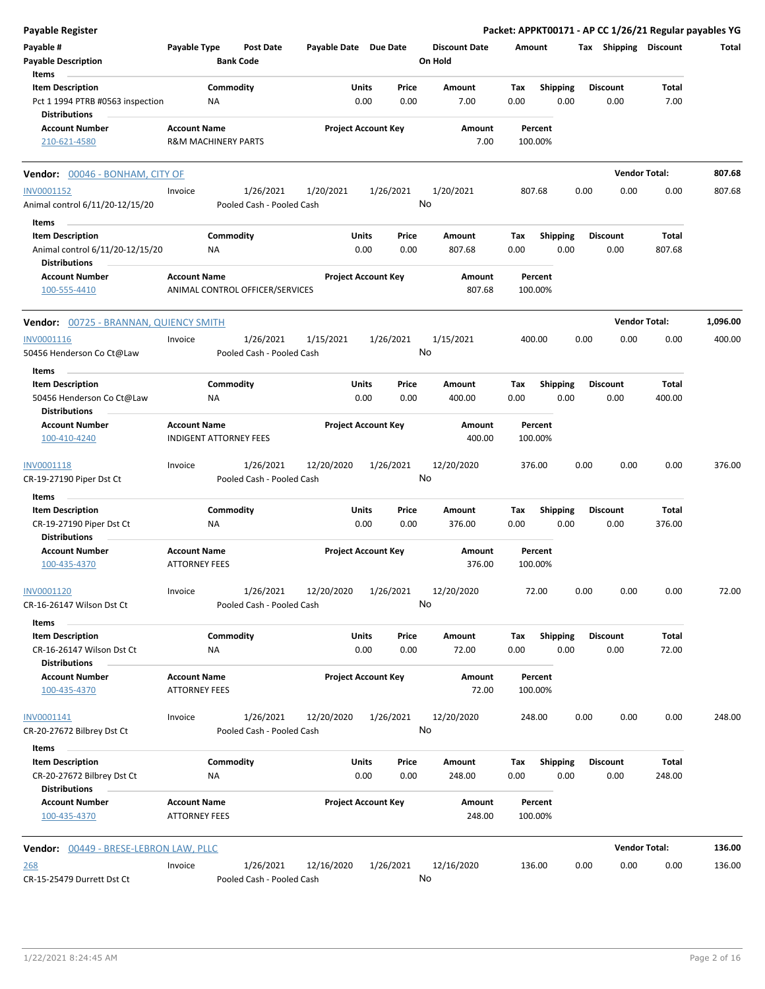| <b>Payable Register</b>                                                             |                                             |                                |                                        |                            |               |               |                                 |             |                         |      |                         | Packet: APPKT00171 - AP CC 1/26/21 Regular payables YG |          |
|-------------------------------------------------------------------------------------|---------------------------------------------|--------------------------------|----------------------------------------|----------------------------|---------------|---------------|---------------------------------|-------------|-------------------------|------|-------------------------|--------------------------------------------------------|----------|
| Payable #<br><b>Payable Description</b>                                             | Payable Type                                | <b>Bank Code</b>               | <b>Post Date</b>                       | Payable Date Due Date      |               |               | <b>Discount Date</b><br>On Hold | Amount      |                         |      | Tax Shipping Discount   |                                                        | Total    |
| Items                                                                               |                                             |                                |                                        |                            |               |               |                                 |             |                         |      |                         |                                                        |          |
| <b>Item Description</b><br>Pct 1 1994 PTRB #0563 inspection<br><b>Distributions</b> |                                             | Commodity<br>NA                |                                        |                            | Units<br>0.00 | Price<br>0.00 | Amount<br>7.00                  | Tax<br>0.00 | Shipping<br>0.00        |      | <b>Discount</b><br>0.00 | Total<br>7.00                                          |          |
| <b>Account Number</b><br>210-621-4580                                               | <b>Account Name</b>                         | <b>R&amp;M MACHINERY PARTS</b> |                                        | <b>Project Account Key</b> |               |               | Amount<br>7.00                  |             | Percent<br>100.00%      |      |                         |                                                        |          |
| Vendor: 00046 - BONHAM, CITY OF                                                     |                                             |                                |                                        |                            |               |               |                                 |             |                         |      |                         | <b>Vendor Total:</b>                                   | 807.68   |
| INV0001152                                                                          | Invoice                                     |                                | 1/26/2021                              | 1/20/2021                  |               | 1/26/2021     | 1/20/2021                       | 807.68      |                         | 0.00 | 0.00                    | 0.00                                                   | 807.68   |
| Animal control 6/11/20-12/15/20                                                     |                                             |                                | Pooled Cash - Pooled Cash              |                            |               |               | No                              |             |                         |      |                         |                                                        |          |
| Items                                                                               |                                             |                                |                                        |                            |               |               |                                 |             |                         |      |                         |                                                        |          |
| <b>Item Description</b>                                                             |                                             | Commodity                      |                                        |                            | Units         | Price         | Amount                          | Tax         | <b>Shipping</b>         |      | <b>Discount</b>         | Total                                                  |          |
| Animal control 6/11/20-12/15/20<br><b>Distributions</b>                             |                                             | ΝA                             |                                        |                            | 0.00          | 0.00          | 807.68                          | 0.00        | 0.00                    |      | 0.00                    | 807.68                                                 |          |
| <b>Account Number</b><br>100-555-4410                                               | <b>Account Name</b>                         |                                | ANIMAL CONTROL OFFICER/SERVICES        | <b>Project Account Key</b> |               |               | Amount<br>807.68                |             | Percent<br>100.00%      |      |                         |                                                        |          |
| <b>Vendor: 00725 - BRANNAN, QUIENCY SMITH</b>                                       |                                             |                                |                                        |                            |               |               |                                 |             |                         |      |                         | <b>Vendor Total:</b>                                   | 1,096.00 |
| INV0001116                                                                          | Invoice                                     |                                | 1/26/2021                              | 1/15/2021                  |               | 1/26/2021     | 1/15/2021                       | 400.00      |                         | 0.00 | 0.00                    | 0.00                                                   | 400.00   |
| 50456 Henderson Co Ct@Law                                                           |                                             |                                | Pooled Cash - Pooled Cash              |                            |               |               | No                              |             |                         |      |                         |                                                        |          |
| Items                                                                               |                                             |                                |                                        |                            |               |               |                                 |             |                         |      |                         |                                                        |          |
| <b>Item Description</b>                                                             |                                             | Commodity                      |                                        |                            | Units         | Price         | Amount                          | Tax         | <b>Shipping</b>         |      | <b>Discount</b>         | Total                                                  |          |
| 50456 Henderson Co Ct@Law<br><b>Distributions</b>                                   |                                             | ΝA                             |                                        |                            | 0.00          | 0.00          | 400.00                          | 0.00        | 0.00                    |      | 0.00                    | 400.00                                                 |          |
| <b>Account Number</b><br>100-410-4240                                               | <b>Account Name</b>                         | <b>INDIGENT ATTORNEY FEES</b>  |                                        | <b>Project Account Key</b> |               |               | Amount<br>400.00                |             | Percent<br>100.00%      |      |                         |                                                        |          |
| INV0001118                                                                          | Invoice                                     |                                | 1/26/2021                              | 12/20/2020                 |               | 1/26/2021     | 12/20/2020                      |             | 376.00                  | 0.00 | 0.00                    | 0.00                                                   | 376.00   |
| CR-19-27190 Piper Dst Ct                                                            |                                             |                                | Pooled Cash - Pooled Cash              |                            |               |               | No                              |             |                         |      |                         |                                                        |          |
| Items                                                                               |                                             |                                |                                        |                            |               |               |                                 |             |                         |      |                         |                                                        |          |
| <b>Item Description</b><br>CR-19-27190 Piper Dst Ct<br><b>Distributions</b>         |                                             | Commodity<br>NA                |                                        |                            | Units<br>0.00 | Price<br>0.00 | Amount<br>376.00                | Tax<br>0.00 | <b>Shipping</b><br>0.00 |      | <b>Discount</b><br>0.00 | Total<br>376.00                                        |          |
| <b>Account Number</b>                                                               | <b>Account Name</b>                         |                                |                                        | <b>Project Account Key</b> |               |               | Amount                          |             | Percent                 |      |                         |                                                        |          |
| 100-435-4370                                                                        | <b>ATTORNEY FEES</b>                        |                                |                                        |                            |               |               | 376.00                          |             | 100.00%                 |      |                         |                                                        |          |
| INV0001120                                                                          | Invoice                                     |                                | 1/26/2021                              | 12/20/2020                 |               | 1/26/2021     | 12/20/2020                      |             | 72.00                   | 0.00 | 0.00                    | 0.00                                                   | 72.00    |
| CR-16-26147 Wilson Dst Ct                                                           |                                             |                                | Pooled Cash - Pooled Cash              |                            |               |               | No                              |             |                         |      |                         |                                                        |          |
| Items                                                                               |                                             |                                |                                        |                            |               |               |                                 |             |                         |      |                         |                                                        |          |
| <b>Item Description</b>                                                             |                                             | Commodity                      |                                        |                            | Units         | Price         | Amount                          | Tax         | <b>Shipping</b>         |      | <b>Discount</b>         | Total                                                  |          |
| CR-16-26147 Wilson Dst Ct<br><b>Distributions</b>                                   |                                             | ΝA                             |                                        |                            | 0.00          | 0.00          | 72.00                           | 0.00        | 0.00                    |      | 0.00                    | 72.00                                                  |          |
| <b>Account Number</b><br>100-435-4370                                               | <b>Account Name</b><br><b>ATTORNEY FEES</b> |                                |                                        | <b>Project Account Key</b> |               |               | Amount<br>72.00                 |             | Percent<br>100.00%      |      |                         |                                                        |          |
| INV0001141                                                                          | Invoice                                     |                                | 1/26/2021                              | 12/20/2020                 |               | 1/26/2021     | 12/20/2020                      |             | 248.00                  | 0.00 | 0.00                    | 0.00                                                   | 248.00   |
| CR-20-27672 Bilbrey Dst Ct                                                          |                                             |                                | Pooled Cash - Pooled Cash              |                            |               |               | No                              |             |                         |      |                         |                                                        |          |
| Items<br><b>Item Description</b>                                                    |                                             | Commodity                      |                                        |                            | Units         | Price         | Amount                          | Tax         | <b>Shipping</b>         |      | <b>Discount</b>         | Total                                                  |          |
| CR-20-27672 Bilbrey Dst Ct<br><b>Distributions</b>                                  |                                             | ΝA                             |                                        |                            | 0.00          | 0.00          | 248.00                          | 0.00        | 0.00                    |      | 0.00                    | 248.00                                                 |          |
| <b>Account Number</b><br>100-435-4370                                               | <b>Account Name</b><br><b>ATTORNEY FEES</b> |                                |                                        | <b>Project Account Key</b> |               |               | Amount<br>248.00                |             | Percent<br>100.00%      |      |                         |                                                        |          |
| <b>Vendor: 00449 - BRESE-LEBRON LAW, PLLC</b>                                       |                                             |                                |                                        |                            |               |               |                                 |             |                         |      |                         | <b>Vendor Total:</b>                                   | 136.00   |
| <u> 268</u><br>CR-15-25479 Durrett Dst Ct                                           | Invoice                                     |                                | 1/26/2021<br>Pooled Cash - Pooled Cash | 12/16/2020                 |               | 1/26/2021     | 12/16/2020<br>No                |             | 136.00                  | 0.00 | 0.00                    | 0.00                                                   | 136.00   |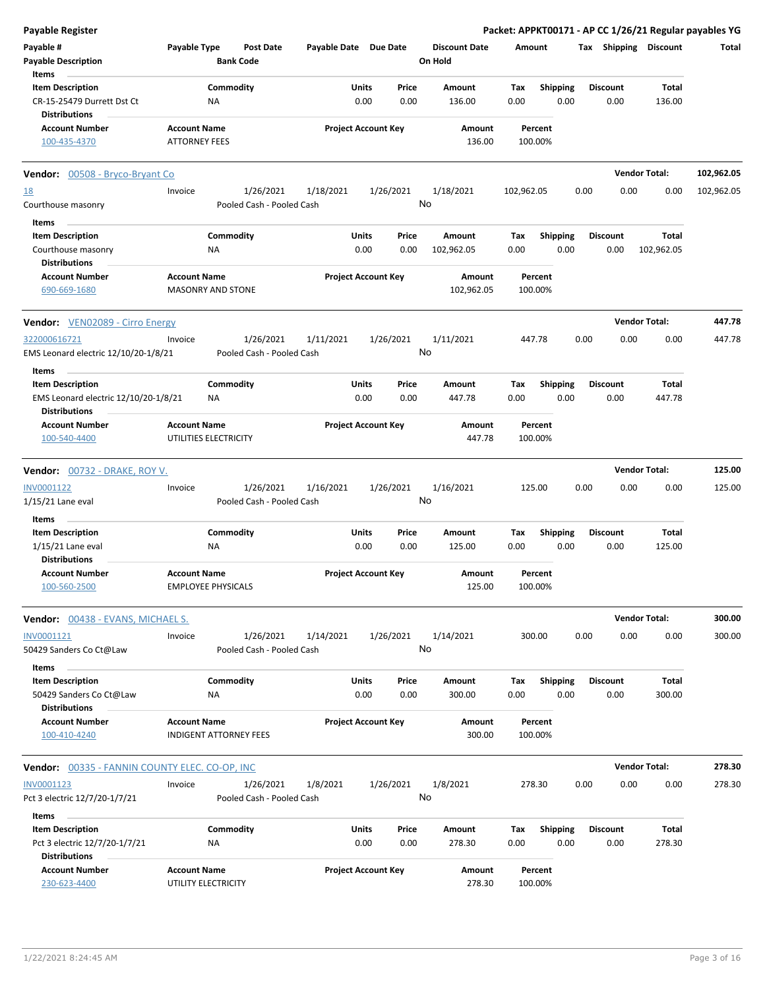| <b>Payable Register</b>                                                          |                      |                               |           |                       |                            |               |                      |             |                         |      |                         |                       | Packet: APPKT00171 - AP CC 1/26/21 Regular payables YG |
|----------------------------------------------------------------------------------|----------------------|-------------------------------|-----------|-----------------------|----------------------------|---------------|----------------------|-------------|-------------------------|------|-------------------------|-----------------------|--------------------------------------------------------|
| Payable #                                                                        | Payable Type         | <b>Post Date</b>              |           | Payable Date Due Date |                            |               | <b>Discount Date</b> | Amount      |                         |      |                         | Tax Shipping Discount | Total                                                  |
| <b>Payable Description</b>                                                       |                      | <b>Bank Code</b>              |           |                       |                            |               | On Hold              |             |                         |      |                         |                       |                                                        |
| Items                                                                            |                      |                               |           |                       |                            |               |                      |             |                         |      |                         |                       |                                                        |
| <b>Item Description</b>                                                          |                      | Commodity                     |           |                       | Units                      | Price         | Amount               | Tax         | <b>Shipping</b>         |      | <b>Discount</b>         | Total                 |                                                        |
| CR-15-25479 Durrett Dst Ct<br><b>Distributions</b>                               |                      | ΝA                            |           |                       | 0.00                       | 0.00          | 136.00               | 0.00        | 0.00                    |      | 0.00                    | 136.00                |                                                        |
| <b>Account Number</b>                                                            | <b>Account Name</b>  |                               |           |                       | <b>Project Account Key</b> |               | Amount               |             | Percent                 |      |                         |                       |                                                        |
| 100-435-4370                                                                     | <b>ATTORNEY FEES</b> |                               |           |                       |                            |               | 136.00               | 100.00%     |                         |      |                         |                       |                                                        |
| <b>Vendor:</b> 00508 - Bryco-Bryant Co                                           |                      |                               |           |                       |                            |               |                      |             |                         |      |                         | <b>Vendor Total:</b>  | 102,962.05                                             |
| <u>18</u>                                                                        | Invoice              |                               | 1/26/2021 | 1/18/2021             |                            | 1/26/2021     | 1/18/2021            | 102,962.05  |                         | 0.00 | 0.00                    | 0.00                  | 102,962.05                                             |
| Courthouse masonry                                                               |                      | Pooled Cash - Pooled Cash     |           |                       |                            | No            |                      |             |                         |      |                         |                       |                                                        |
| Items                                                                            |                      |                               |           |                       |                            |               |                      |             |                         |      |                         |                       |                                                        |
| <b>Item Description</b>                                                          |                      | Commodity                     |           |                       | Units                      | Price         | Amount               | Tax         | <b>Shipping</b>         |      | <b>Discount</b>         | <b>Total</b>          |                                                        |
| Courthouse masonry                                                               |                      | ΝA                            |           |                       | 0.00                       | 0.00          | 102,962.05           | 0.00        | 0.00                    |      | 0.00                    | 102,962.05            |                                                        |
| <b>Distributions</b>                                                             |                      |                               |           |                       |                            |               |                      |             |                         |      |                         |                       |                                                        |
| <b>Account Number</b><br>690-669-1680                                            | <b>Account Name</b>  | <b>MASONRY AND STONE</b>      |           |                       | <b>Project Account Key</b> |               | Amount<br>102,962.05 | 100.00%     | Percent                 |      |                         |                       |                                                        |
| <b>Vendor:</b> VEN02089 - Cirro Energy                                           |                      |                               |           |                       |                            |               |                      |             |                         |      |                         | <b>Vendor Total:</b>  | 447.78                                                 |
| 322000616721                                                                     | Invoice              |                               | 1/26/2021 | 1/11/2021             |                            | 1/26/2021     | 1/11/2021            | 447.78      |                         | 0.00 | 0.00                    | 0.00                  | 447.78                                                 |
| EMS Leonard electric 12/10/20-1/8/21                                             |                      | Pooled Cash - Pooled Cash     |           |                       |                            | No            |                      |             |                         |      |                         |                       |                                                        |
| Items                                                                            |                      |                               |           |                       |                            |               |                      |             |                         |      |                         |                       |                                                        |
| <b>Item Description</b>                                                          |                      | Commodity                     |           |                       | Units                      | Price         | Amount               | Tax         | <b>Shipping</b>         |      | <b>Discount</b>         | Total                 |                                                        |
| EMS Leonard electric 12/10/20-1/8/21<br><b>Distributions</b>                     |                      | ΝA                            |           |                       | 0.00                       | 0.00          | 447.78               | 0.00        | 0.00                    |      | 0.00                    | 447.78                |                                                        |
| <b>Account Number</b>                                                            | <b>Account Name</b>  |                               |           |                       | <b>Project Account Key</b> |               | Amount               |             | Percent                 |      |                         |                       |                                                        |
| 100-540-4400                                                                     |                      | UTILITIES ELECTRICITY         |           |                       |                            |               | 447.78               | 100.00%     |                         |      |                         |                       |                                                        |
| Vendor: 00732 - DRAKE, ROY V.                                                    |                      |                               |           |                       |                            |               |                      |             |                         |      |                         | <b>Vendor Total:</b>  | 125.00                                                 |
| INV0001122                                                                       | Invoice              |                               | 1/26/2021 | 1/16/2021             |                            | 1/26/2021     | 1/16/2021            | 125.00      |                         | 0.00 | 0.00                    | 0.00                  | 125.00                                                 |
| $1/15/21$ Lane eval                                                              |                      | Pooled Cash - Pooled Cash     |           |                       |                            | No            |                      |             |                         |      |                         |                       |                                                        |
| Items                                                                            |                      |                               |           |                       |                            |               |                      |             |                         |      |                         |                       |                                                        |
| <b>Item Description</b>                                                          |                      | Commodity                     |           |                       | Units                      | Price         | Amount               | Tax         | <b>Shipping</b>         |      | <b>Discount</b>         | Total                 |                                                        |
| $1/15/21$ Lane eval                                                              |                      | ΝA                            |           |                       | 0.00                       | 0.00          | 125.00               | 0.00        | 0.00                    |      | 0.00                    | 125.00                |                                                        |
| <b>Distributions</b>                                                             |                      |                               |           |                       |                            |               |                      |             |                         |      |                         |                       |                                                        |
| <b>Account Number</b><br>100-560-2500                                            | <b>Account Name</b>  | <b>EMPLOYEE PHYSICALS</b>     |           |                       | <b>Project Account Key</b> |               | Amount<br>125.00     | 100.00%     | Percent                 |      |                         |                       |                                                        |
| Vendor: 00438 - EVANS, MICHAEL S.                                                |                      |                               |           |                       |                            |               |                      |             |                         |      |                         | <b>Vendor Total:</b>  | 300.00                                                 |
| INV0001121                                                                       | Invoice              |                               | 1/26/2021 | 1/14/2021             |                            | 1/26/2021     | 1/14/2021            | 300.00      |                         | 0.00 | 0.00                    | 0.00                  | 300.00                                                 |
| 50429 Sanders Co Ct@Law                                                          |                      | Pooled Cash - Pooled Cash     |           |                       |                            |               | No                   |             |                         |      |                         |                       |                                                        |
| Items                                                                            |                      |                               |           |                       |                            |               |                      |             |                         |      |                         |                       |                                                        |
| <b>Item Description</b>                                                          |                      | Commodity                     |           |                       | Units                      | Price         | Amount               | Tax         | <b>Shipping</b>         |      | <b>Discount</b>         | Total                 |                                                        |
| 50429 Sanders Co Ct@Law<br><b>Distributions</b>                                  |                      | NA                            |           |                       | 0.00                       | 0.00          | 300.00               | 0.00        | 0.00                    |      | 0.00                    | 300.00                |                                                        |
| <b>Account Number</b><br>100-410-4240                                            | <b>Account Name</b>  | <b>INDIGENT ATTORNEY FEES</b> |           |                       | <b>Project Account Key</b> |               | Amount<br>300.00     | 100.00%     | Percent                 |      |                         |                       |                                                        |
| <b>Vendor: 00335 - FANNIN COUNTY ELEC. CO-OP, INC</b>                            |                      |                               |           |                       |                            |               |                      |             |                         |      |                         | <b>Vendor Total:</b>  | 278.30                                                 |
| INV0001123                                                                       | Invoice              |                               | 1/26/2021 | 1/8/2021              |                            | 1/26/2021     | 1/8/2021             | 278.30      |                         | 0.00 | 0.00                    | 0.00                  | 278.30                                                 |
| Pct 3 electric 12/7/20-1/7/21                                                    |                      | Pooled Cash - Pooled Cash     |           |                       |                            | No            |                      |             |                         |      |                         |                       |                                                        |
| Items                                                                            |                      |                               |           |                       |                            |               |                      |             |                         |      |                         |                       |                                                        |
| <b>Item Description</b><br>Pct 3 electric 12/7/20-1/7/21<br><b>Distributions</b> |                      | Commodity<br>NA               |           |                       | Units<br>0.00              | Price<br>0.00 | Amount<br>278.30     | Tax<br>0.00 | <b>Shipping</b><br>0.00 |      | <b>Discount</b><br>0.00 | Total<br>278.30       |                                                        |
| <b>Account Number</b><br>230-623-4400                                            | <b>Account Name</b>  | UTILITY ELECTRICITY           |           |                       | <b>Project Account Key</b> |               | Amount<br>278.30     | 100.00%     | Percent                 |      |                         |                       |                                                        |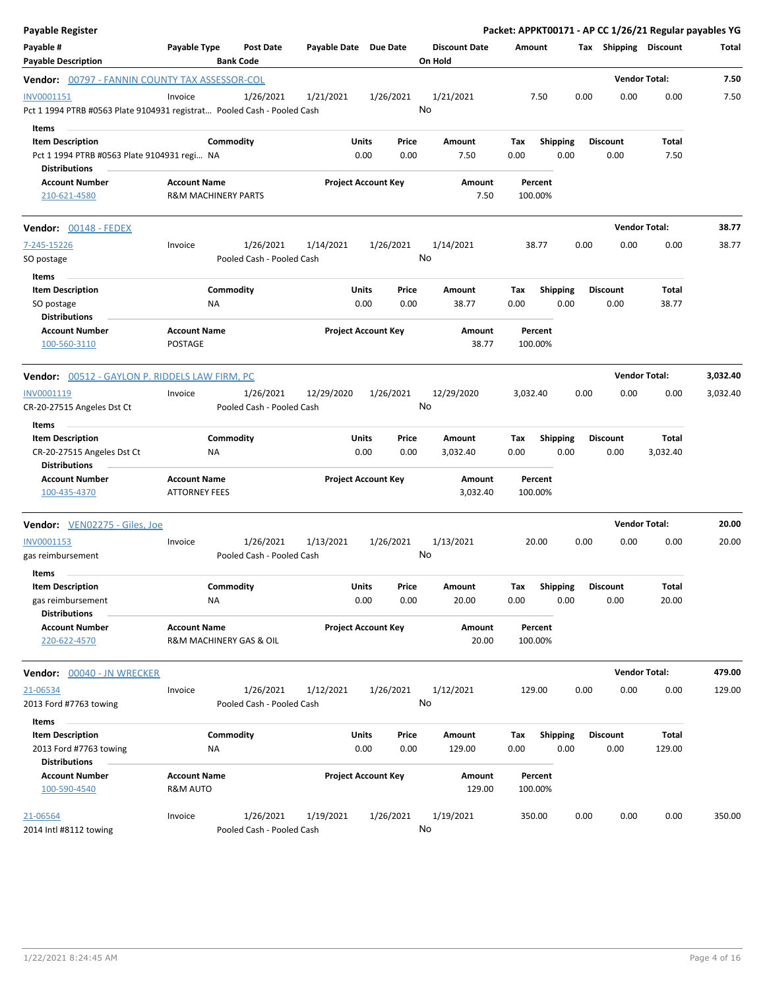| <b>Payable Register</b>                                                                          |                                                       |                                        |                       |                            |               |                                 |                    |                         |      |                         | Packet: APPKT00171 - AP CC 1/26/21 Regular payables YG |          |
|--------------------------------------------------------------------------------------------------|-------------------------------------------------------|----------------------------------------|-----------------------|----------------------------|---------------|---------------------------------|--------------------|-------------------------|------|-------------------------|--------------------------------------------------------|----------|
| Payable #<br><b>Payable Description</b>                                                          | Payable Type                                          | <b>Post Date</b><br><b>Bank Code</b>   | Payable Date Due Date |                            |               | <b>Discount Date</b><br>On Hold | Amount             |                         |      | Tax Shipping Discount   |                                                        | Total    |
| Vendor: 00797 - FANNIN COUNTY TAX ASSESSOR-COL                                                   |                                                       |                                        |                       |                            |               |                                 |                    |                         |      |                         | <b>Vendor Total:</b>                                   | 7.50     |
| INV0001151<br>Pct 1 1994 PTRB #0563 Plate 9104931 registrat Pooled Cash - Pooled Cash            | Invoice                                               | 1/26/2021                              | 1/21/2021             | 1/26/2021                  | No            | 1/21/2021                       | 7.50               |                         | 0.00 | 0.00                    | 0.00                                                   | 7.50     |
| Items<br><b>Item Description</b><br>Pct 1 1994 PTRB #0563 Plate 9104931 regi NA<br>Distributions |                                                       | Commodity                              |                       | Units<br>0.00              | Price<br>0.00 | Amount<br>7.50                  | Tax<br>0.00        | <b>Shipping</b><br>0.00 |      | <b>Discount</b><br>0.00 | Total<br>7.50                                          |          |
| <b>Account Number</b><br>210-621-4580                                                            | <b>Account Name</b><br><b>R&amp;M MACHINERY PARTS</b> |                                        |                       | <b>Project Account Key</b> |               | Amount<br>7.50                  | Percent<br>100.00% |                         |      |                         |                                                        |          |
| Vendor: 00148 - FEDEX                                                                            |                                                       |                                        |                       |                            |               |                                 |                    |                         |      |                         | <b>Vendor Total:</b>                                   | 38.77    |
| 7-245-15226<br>SO postage                                                                        | Invoice                                               | 1/26/2021<br>Pooled Cash - Pooled Cash | 1/14/2021             | 1/26/2021                  | No            | 1/14/2021                       | 38.77              |                         | 0.00 | 0.00                    | 0.00                                                   | 38.77    |
| Items<br><b>Item Description</b><br>SO postage                                                   | NA                                                    | Commodity                              |                       | Units<br>0.00              | Price<br>0.00 | Amount<br>38.77                 | Tax<br>0.00        | <b>Shipping</b><br>0.00 |      | <b>Discount</b><br>0.00 | Total<br>38.77                                         |          |
| <b>Distributions</b><br>Account Number<br>100-560-3110                                           | <b>Account Name</b><br><b>POSTAGE</b>                 |                                        |                       | <b>Project Account Key</b> |               | Amount<br>38.77                 | Percent<br>100.00% |                         |      |                         |                                                        |          |
| Vendor: 00512 - GAYLON P. RIDDELS LAW FIRM, PC                                                   |                                                       |                                        |                       |                            |               |                                 |                    |                         |      |                         | <b>Vendor Total:</b>                                   | 3,032.40 |
| INV0001119<br>CR-20-27515 Angeles Dst Ct<br>Items                                                | Invoice                                               | 1/26/2021<br>Pooled Cash - Pooled Cash | 12/29/2020            | 1/26/2021                  | No            | 12/29/2020                      | 3,032.40           |                         | 0.00 | 0.00                    | 0.00                                                   | 3,032.40 |
| <b>Item Description</b><br>CR-20-27515 Angeles Dst Ct<br><b>Distributions</b>                    | ΝA                                                    | Commodity                              |                       | Units<br>0.00              | Price<br>0.00 | Amount<br>3,032.40              | Tax<br>0.00        | <b>Shipping</b><br>0.00 |      | <b>Discount</b><br>0.00 | Total<br>3,032.40                                      |          |
| <b>Account Number</b><br>100-435-4370                                                            | <b>Account Name</b><br><b>ATTORNEY FEES</b>           |                                        |                       | <b>Project Account Key</b> |               | Amount<br>3,032.40              | Percent<br>100.00% |                         |      |                         |                                                        |          |
| Vendor: VEN02275 - Giles, Joe                                                                    |                                                       |                                        |                       |                            |               |                                 |                    |                         |      |                         | <b>Vendor Total:</b>                                   | 20.00    |
| INV0001153<br>gas reimbursement                                                                  | Invoice                                               | 1/26/2021<br>Pooled Cash - Pooled Cash | 1/13/2021             | 1/26/2021                  | No            | 1/13/2021                       | 20.00              |                         | 0.00 | 0.00                    | 0.00                                                   | 20.00    |
| Items<br><b>Item Description</b><br>gas reimbursement<br><b>Distributions</b>                    | NA                                                    | Commodity                              |                       | Units<br>0.00              | Price<br>0.00 | Amount<br>20.00                 | Tax<br>0.00        | <b>Shipping</b><br>0.00 |      | <b>Discount</b><br>0.00 | Total<br>20.00                                         |          |
| <b>Account Number</b><br>220-622-4570                                                            | <b>Account Name</b><br>R&M MACHINERY GAS & OIL        |                                        |                       | <b>Project Account Key</b> |               | Amount<br>20.00                 | Percent<br>100.00% |                         |      |                         |                                                        |          |
| Vendor: 00040 - JN WRECKER                                                                       |                                                       |                                        |                       |                            |               |                                 |                    |                         |      |                         | <b>Vendor Total:</b>                                   | 479.00   |
| 21-06534<br>2013 Ford #7763 towing                                                               | Invoice                                               | 1/26/2021<br>Pooled Cash - Pooled Cash | 1/12/2021             | 1/26/2021                  | No            | 1/12/2021                       | 129.00             |                         | 0.00 | 0.00                    | 0.00                                                   | 129.00   |
| Items<br><b>Item Description</b><br>2013 Ford #7763 towing<br><b>Distributions</b>               | NA                                                    | Commodity                              |                       | Units<br>0.00              | Price<br>0.00 | Amount<br>129.00                | Tax<br>0.00        | <b>Shipping</b><br>0.00 |      | <b>Discount</b><br>0.00 | <b>Total</b><br>129.00                                 |          |
| <b>Account Number</b><br>100-590-4540                                                            | <b>Account Name</b><br>R&M AUTO                       |                                        |                       | <b>Project Account Key</b> |               | Amount<br>129.00                | Percent<br>100.00% |                         |      |                         |                                                        |          |
| 21-06564<br>2014 Intl #8112 towing                                                               | Invoice                                               | 1/26/2021<br>Pooled Cash - Pooled Cash | 1/19/2021             | 1/26/2021                  | No            | 1/19/2021                       | 350.00             |                         | 0.00 | 0.00                    | 0.00                                                   | 350.00   |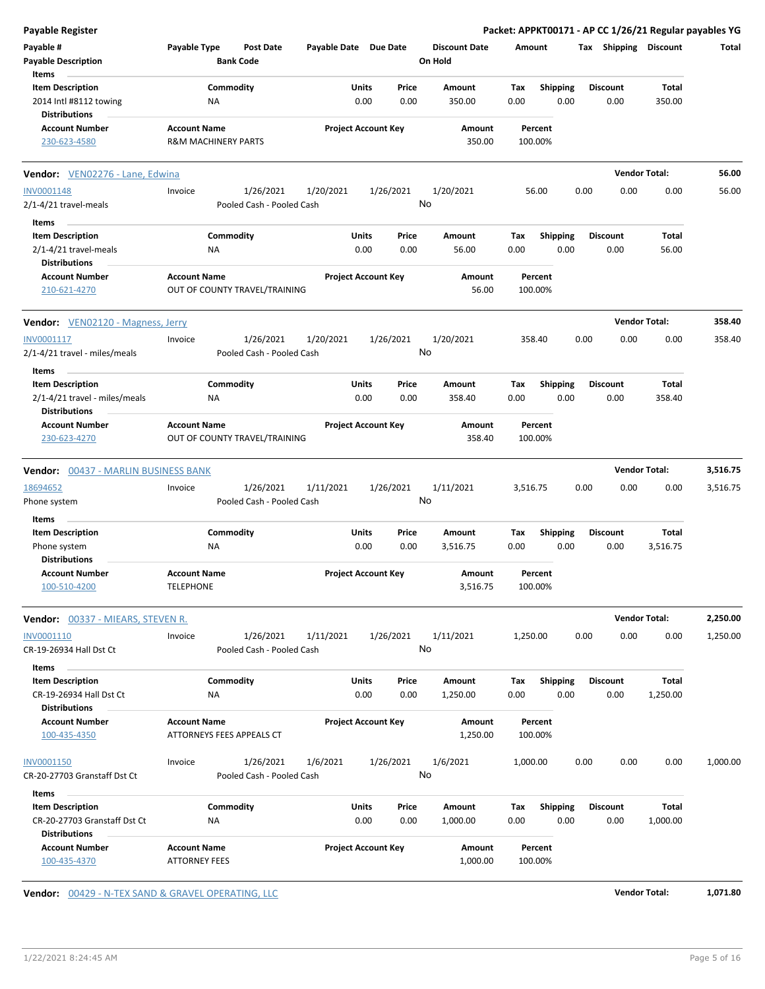| <b>Payable Register</b>                                                          |                                                      |                                                     |                            |                 |                                 |             |                         |      |                         | Packet: APPKT00171 - AP CC 1/26/21 Regular payables YG |          |
|----------------------------------------------------------------------------------|------------------------------------------------------|-----------------------------------------------------|----------------------------|-----------------|---------------------------------|-------------|-------------------------|------|-------------------------|--------------------------------------------------------|----------|
| Payable #<br><b>Payable Description</b>                                          | Payable Type<br><b>Bank Code</b>                     | <b>Post Date</b><br>Payable Date Due Date           |                            |                 | <b>Discount Date</b><br>On Hold | Amount      |                         |      | Tax Shipping            | Discount                                               | Total    |
| Items<br><b>Item Description</b>                                                 | Commodity                                            |                                                     | Units                      | Price           | Amount                          | Tax         | Shipping                |      | <b>Discount</b>         | Total                                                  |          |
| 2014 Intl #8112 towing<br><b>Distributions</b>                                   | ΝA                                                   |                                                     | 0.00                       | 0.00            | 350.00                          | 0.00        | 0.00                    |      | 0.00                    | 350.00                                                 |          |
| <b>Account Number</b><br>230-623-4580                                            | <b>Account Name</b><br>R&M MACHINERY PARTS           |                                                     | <b>Project Account Key</b> |                 | Amount<br>350.00                | 100.00%     | Percent                 |      |                         |                                                        |          |
| Vendor: VEN02276 - Lane, Edwina                                                  |                                                      |                                                     |                            |                 |                                 |             |                         |      | <b>Vendor Total:</b>    |                                                        | 56.00    |
| <b>INV0001148</b>                                                                | Invoice                                              | 1/26/2021<br>1/20/2021                              |                            | 1/26/2021       | 1/20/2021                       |             | 56.00                   | 0.00 | 0.00                    | 0.00                                                   | 56.00    |
| $2/1 - 4/21$ travel-meals                                                        |                                                      | Pooled Cash - Pooled Cash                           |                            | No              |                                 |             |                         |      |                         |                                                        |          |
| Items                                                                            |                                                      |                                                     |                            |                 |                                 |             |                         |      |                         |                                                        |          |
| <b>Item Description</b>                                                          | Commodity                                            |                                                     | Units                      | Price           | Amount                          | Tax         | <b>Shipping</b>         |      | <b>Discount</b>         | Total                                                  |          |
| 2/1-4/21 travel-meals<br><b>Distributions</b>                                    | ΝA                                                   |                                                     | 0.00                       | 0.00            | 56.00                           | 0.00        | 0.00                    |      | 0.00                    | 56.00                                                  |          |
| <b>Account Number</b><br>210-621-4270                                            | <b>Account Name</b><br>OUT OF COUNTY TRAVEL/TRAINING |                                                     | <b>Project Account Key</b> |                 | Amount<br>56.00                 | 100.00%     | Percent                 |      |                         |                                                        |          |
| <b>Vendor:</b> VEN02120 - Magness, Jerry                                         |                                                      |                                                     |                            |                 |                                 |             |                         |      | <b>Vendor Total:</b>    |                                                        | 358.40   |
| INV0001117<br>2/1-4/21 travel - miles/meals                                      | Invoice                                              | 1/26/2021<br>1/20/2021<br>Pooled Cash - Pooled Cash |                            | 1/26/2021<br>No | 1/20/2021                       | 358.40      |                         | 0.00 | 0.00                    | 0.00                                                   | 358.40   |
| Items                                                                            |                                                      |                                                     |                            |                 |                                 |             |                         |      |                         |                                                        |          |
| <b>Item Description</b><br>2/1-4/21 travel - miles/meals<br><b>Distributions</b> | Commodity<br>ΝA                                      |                                                     | Units<br>0.00              | Price<br>0.00   | Amount<br>358.40                | Tax<br>0.00 | <b>Shipping</b><br>0.00 |      | <b>Discount</b><br>0.00 | Total<br>358.40                                        |          |
| <b>Account Number</b><br>230-623-4270                                            | <b>Account Name</b><br>OUT OF COUNTY TRAVEL/TRAINING |                                                     | <b>Project Account Key</b> |                 | Amount<br>358.40                | 100.00%     | Percent                 |      |                         |                                                        |          |
| <b>Vendor: 00437 - MARLIN BUSINESS BANK</b>                                      |                                                      |                                                     |                            |                 |                                 |             |                         |      | <b>Vendor Total:</b>    |                                                        | 3,516.75 |
|                                                                                  |                                                      |                                                     |                            |                 |                                 |             |                         |      |                         | 0.00                                                   |          |
| 18694652<br>Phone system                                                         | Invoice                                              | 1/26/2021<br>1/11/2021<br>Pooled Cash - Pooled Cash |                            | 1/26/2021<br>No | 1/11/2021                       | 3,516.75    |                         | 0.00 | 0.00                    |                                                        | 3,516.75 |
| Items                                                                            |                                                      |                                                     |                            |                 |                                 |             |                         |      |                         |                                                        |          |
| <b>Item Description</b><br>Phone system                                          | Commodity<br>ΝA                                      |                                                     | Units<br>0.00              | Price<br>0.00   | Amount<br>3,516.75              | Tax<br>0.00 | <b>Shipping</b><br>0.00 |      | <b>Discount</b><br>0.00 | Total<br>3,516.75                                      |          |
| <b>Distributions</b><br><b>Account Number</b>                                    | <b>Account Name</b>                                  |                                                     | <b>Project Account Key</b> |                 | Amount                          |             | Percent                 |      |                         |                                                        |          |
| 100-510-4200                                                                     | <b>TELEPHONE</b>                                     |                                                     |                            |                 | 3,516.75                        | 100.00%     |                         |      |                         |                                                        |          |
| Vendor: 00337 - MIEARS, STEVEN R.                                                |                                                      |                                                     |                            |                 |                                 |             |                         |      | <b>Vendor Total:</b>    |                                                        | 2,250.00 |
| INV0001110                                                                       | Invoice                                              | 1/26/2021<br>1/11/2021                              |                            | 1/26/2021       | 1/11/2021                       | 1,250.00    |                         | 0.00 | 0.00                    | 0.00                                                   | 1,250.00 |
| CR-19-26934 Hall Dst Ct<br>Items                                                 |                                                      | Pooled Cash - Pooled Cash                           |                            | No              |                                 |             |                         |      |                         |                                                        |          |
| <b>Item Description</b>                                                          | Commodity                                            |                                                     | Units                      | Price           | Amount                          | Tax         | <b>Shipping</b>         |      | <b>Discount</b>         | Total                                                  |          |
| CR-19-26934 Hall Dst Ct<br><b>Distributions</b>                                  | NA                                                   |                                                     | 0.00                       | 0.00            | 1,250.00                        | 0.00        | 0.00                    |      | 0.00                    | 1,250.00                                               |          |
| <b>Account Number</b>                                                            | <b>Account Name</b>                                  |                                                     | <b>Project Account Key</b> |                 | Amount                          |             | Percent                 |      |                         |                                                        |          |
| 100-435-4350                                                                     | ATTORNEYS FEES APPEALS CT                            |                                                     |                            |                 | 1,250.00                        | 100.00%     |                         |      |                         |                                                        |          |
| <b>INV0001150</b>                                                                | Invoice                                              | 1/26/2021<br>1/6/2021                               |                            | 1/26/2021       | 1/6/2021                        | 1,000.00    |                         | 0.00 | 0.00                    | 0.00                                                   | 1,000.00 |
| CR-20-27703 Granstaff Dst Ct                                                     |                                                      | Pooled Cash - Pooled Cash                           |                            | No              |                                 |             |                         |      |                         |                                                        |          |
| Items                                                                            |                                                      |                                                     |                            |                 |                                 |             |                         |      |                         |                                                        |          |
| <b>Item Description</b>                                                          | Commodity                                            |                                                     | Units                      | Price           | Amount                          | Tax         | <b>Shipping</b>         |      | <b>Discount</b>         | Total                                                  |          |
| CR-20-27703 Granstaff Dst Ct<br><b>Distributions</b>                             | NA                                                   |                                                     | 0.00                       | 0.00            | 1,000.00                        | 0.00        | 0.00                    |      | 0.00                    | 1,000.00                                               |          |
|                                                                                  |                                                      |                                                     |                            |                 |                                 |             |                         |      |                         |                                                        |          |

**Vendor:** 00429 - N-TEX SAND & GRAVEL OPERATING, LLC **Vendor Total: 1,071.80**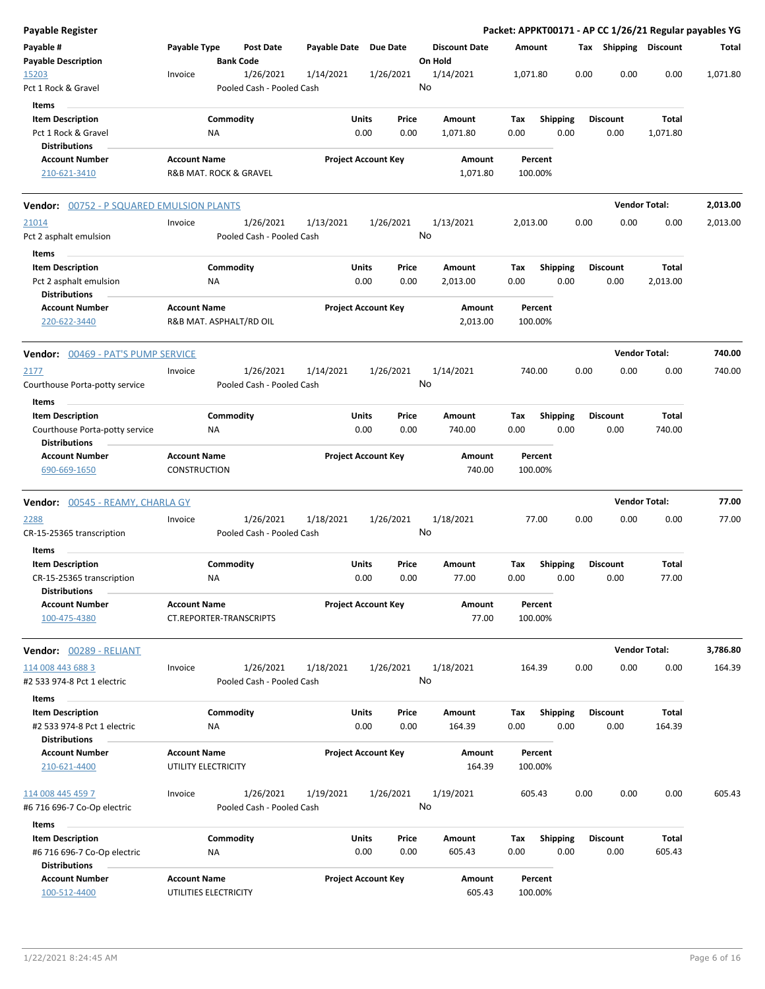| Payable Register                                                               |                                     |                        |                                        |                       |                                |                                 |             |                         |      |                         | Packet: APPKT00171 - AP CC 1/26/21 Regular payables YG |          |
|--------------------------------------------------------------------------------|-------------------------------------|------------------------|----------------------------------------|-----------------------|--------------------------------|---------------------------------|-------------|-------------------------|------|-------------------------|--------------------------------------------------------|----------|
| Payable #<br><b>Payable Description</b>                                        | Payable Type                        |                        | <b>Post Date</b><br><b>Bank Code</b>   | Payable Date Due Date |                                | <b>Discount Date</b><br>On Hold | Amount      |                         |      | Tax Shipping Discount   |                                                        | Total    |
| 15203<br>Pct 1 Rock & Gravel                                                   | Invoice                             |                        | 1/26/2021<br>Pooled Cash - Pooled Cash | 1/14/2021             | 1/26/2021                      | 1/14/2021<br>No                 | 1,071.80    |                         | 0.00 | 0.00                    | 0.00                                                   | 1,071.80 |
| Items                                                                          |                                     |                        |                                        |                       |                                |                                 |             |                         |      |                         |                                                        |          |
| <b>Item Description</b><br>Pct 1 Rock & Gravel                                 |                                     | Commodity<br><b>NA</b> |                                        |                       | Units<br>Price<br>0.00<br>0.00 | Amount<br>1,071.80              | Tax<br>0.00 | <b>Shipping</b><br>0.00 |      | <b>Discount</b><br>0.00 | Total<br>1,071.80                                      |          |
| <b>Distributions</b><br><b>Account Number</b>                                  | <b>Account Name</b>                 |                        |                                        |                       | <b>Project Account Key</b>     | Amount                          |             | Percent                 |      |                         |                                                        |          |
| 210-621-3410                                                                   |                                     |                        | R&B MAT. ROCK & GRAVEL                 |                       |                                | 1,071.80                        | 100.00%     |                         |      |                         |                                                        |          |
| <b>Vendor:</b> 00752 - P SQUARED EMULSION PLANTS                               |                                     |                        |                                        |                       |                                |                                 |             |                         |      |                         | <b>Vendor Total:</b>                                   | 2,013.00 |
| 21014<br>Pct 2 asphalt emulsion                                                | Invoice                             |                        | 1/26/2021<br>Pooled Cash - Pooled Cash | 1/13/2021             | 1/26/2021                      | 1/13/2021<br>No                 | 2,013.00    |                         | 0.00 | 0.00                    | 0.00                                                   | 2,013.00 |
| Items                                                                          |                                     |                        |                                        |                       |                                |                                 |             |                         |      |                         |                                                        |          |
| <b>Item Description</b><br>Pct 2 asphalt emulsion                              |                                     | Commodity<br>ΝA        |                                        |                       | Units<br>Price<br>0.00<br>0.00 | Amount<br>2,013.00              | Tax<br>0.00 | <b>Shipping</b><br>0.00 |      | <b>Discount</b><br>0.00 | Total<br>2,013.00                                      |          |
| <b>Distributions</b><br><b>Account Number</b><br>220-622-3440                  | <b>Account Name</b>                 |                        | R&B MAT. ASPHALT/RD OIL                |                       | <b>Project Account Key</b>     | Amount<br>2,013.00              |             | Percent<br>100.00%      |      |                         |                                                        |          |
| Vendor: 00469 - PAT'S PUMP SERVICE                                             |                                     |                        |                                        |                       |                                |                                 |             |                         |      | <b>Vendor Total:</b>    |                                                        | 740.00   |
| 2177<br>Courthouse Porta-potty service                                         | Invoice                             |                        | 1/26/2021<br>Pooled Cash - Pooled Cash | 1/14/2021             | 1/26/2021                      | 1/14/2021<br>No                 | 740.00      |                         | 0.00 | 0.00                    | 0.00                                                   | 740.00   |
| Items<br><b>Item Description</b>                                               |                                     | Commodity              |                                        |                       | Units<br>Price                 | Amount                          | Tax         | <b>Shipping</b>         |      | <b>Discount</b>         | Total                                                  |          |
| Courthouse Porta-potty service<br><b>Distributions</b>                         |                                     | ΝA                     |                                        |                       | 0.00<br>0.00                   | 740.00                          | 0.00        | 0.00                    |      | 0.00                    | 740.00                                                 |          |
| <b>Account Number</b><br>690-669-1650                                          | <b>Account Name</b><br>CONSTRUCTION |                        |                                        |                       | <b>Project Account Key</b>     | Amount<br>740.00                | 100.00%     | Percent                 |      |                         |                                                        |          |
| <b>Vendor:</b> 00545 - REAMY, CHARLA GY                                        |                                     |                        |                                        |                       |                                |                                 |             |                         |      |                         | <b>Vendor Total:</b>                                   | 77.00    |
| 2288<br>CR-15-25365 transcription                                              | Invoice                             |                        | 1/26/2021<br>Pooled Cash - Pooled Cash | 1/18/2021             | 1/26/2021                      | 1/18/2021<br>No                 |             | 77.00                   | 0.00 | 0.00                    | 0.00                                                   | 77.00    |
| Items<br><b>Item Description</b>                                               |                                     | Commodity              |                                        |                       | Units<br>Price                 | Amount                          | Tax         | <b>Shipping</b>         |      | <b>Discount</b>         | Total                                                  |          |
| CR-15-25365 transcription<br><b>Distributions</b>                              |                                     | ΝA                     |                                        |                       | 0.00<br>0.00                   | 77.00                           | 0.00        | 0.00                    |      | 0.00                    | 77.00                                                  |          |
| <b>Account Number</b><br>100-475-4380                                          | <b>Account Name</b>                 |                        | <b>CT.REPORTER-TRANSCRIPTS</b>         |                       | <b>Project Account Key</b>     | Amount<br>77.00                 | 100.00%     | Percent                 |      |                         |                                                        |          |
| Vendor: 00289 - RELIANT                                                        |                                     |                        |                                        |                       |                                |                                 |             |                         |      |                         | <b>Vendor Total:</b>                                   | 3,786.80 |
| 114 008 443 688 3<br>#2 533 974-8 Pct 1 electric                               | Invoice                             |                        | 1/26/2021<br>Pooled Cash - Pooled Cash | 1/18/2021             | 1/26/2021                      | 1/18/2021<br>No                 | 164.39      |                         | 0.00 | 0.00                    | 0.00                                                   | 164.39   |
| Items                                                                          |                                     |                        |                                        |                       |                                |                                 |             |                         |      |                         | Total                                                  |          |
| <b>Item Description</b><br>#2 533 974-8 Pct 1 electric<br><b>Distributions</b> |                                     | Commodity<br>ΝA        |                                        |                       | Units<br>Price<br>0.00<br>0.00 | Amount<br>164.39                | Tax<br>0.00 | <b>Shipping</b><br>0.00 |      | Discount<br>0.00        | 164.39                                                 |          |
| <b>Account Number</b>                                                          | <b>Account Name</b>                 |                        |                                        |                       | <b>Project Account Key</b>     | Amount                          |             | Percent                 |      |                         |                                                        |          |
| 210-621-4400                                                                   |                                     | UTILITY ELECTRICITY    |                                        |                       |                                | 164.39                          | 100.00%     |                         |      |                         |                                                        |          |
| 114 008 445 459 7<br>#6 716 696-7 Co-Op electric                               | Invoice                             |                        | 1/26/2021<br>Pooled Cash - Pooled Cash | 1/19/2021             | 1/26/2021                      | 1/19/2021<br>No                 | 605.43      |                         | 0.00 | 0.00                    | 0.00                                                   | 605.43   |
| Items                                                                          |                                     |                        |                                        |                       |                                |                                 |             |                         |      |                         |                                                        |          |
| <b>Item Description</b><br>#6 716 696-7 Co-Op electric                         |                                     | Commodity<br>ΝA        |                                        |                       | Units<br>Price<br>0.00<br>0.00 | Amount<br>605.43                | Tax<br>0.00 | Shipping<br>0.00        |      | <b>Discount</b><br>0.00 | Total<br>605.43                                        |          |
| <b>Distributions</b><br><b>Account Number</b><br>100-512-4400                  | <b>Account Name</b>                 | UTILITIES ELECTRICITY  |                                        |                       | <b>Project Account Key</b>     | Amount<br>605.43                | 100.00%     | Percent                 |      |                         |                                                        |          |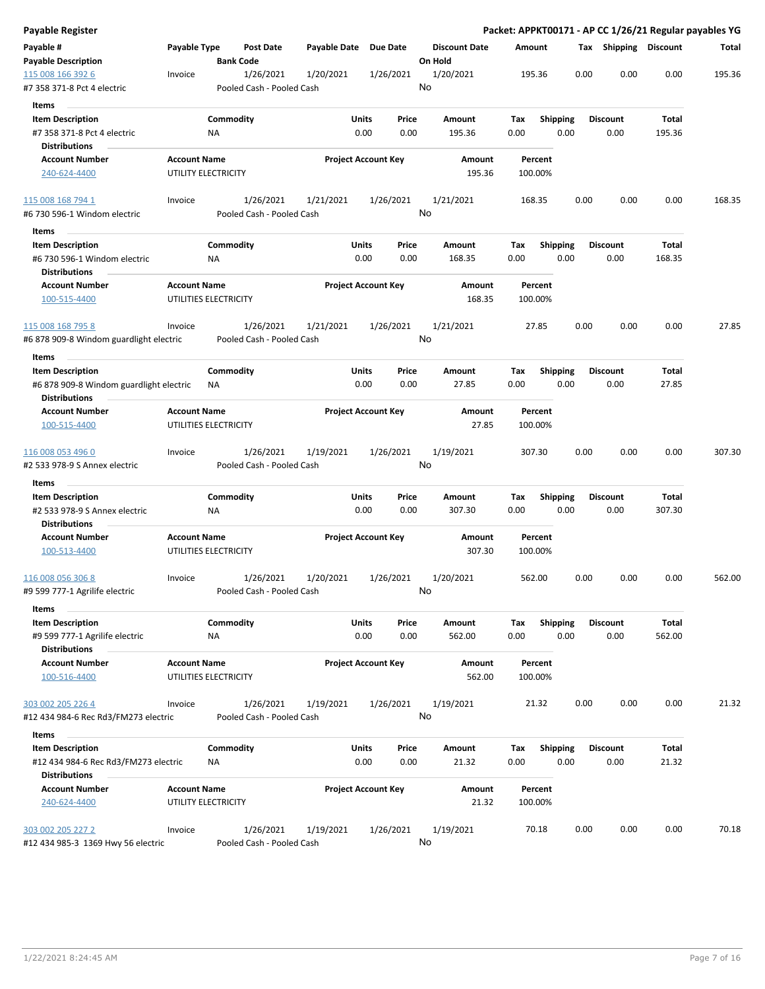| Payable Register                                                |                     |                               |                       |                                |                                 | Packet: APPKT00171 - AP CC 1/26/21 Regular payables YG |      |                         |                 |        |
|-----------------------------------------------------------------|---------------------|-------------------------------|-----------------------|--------------------------------|---------------------------------|--------------------------------------------------------|------|-------------------------|-----------------|--------|
| Payable #<br><b>Payable Description</b>                         | Payable Type        | Post Date<br><b>Bank Code</b> | Payable Date Due Date |                                | <b>Discount Date</b><br>On Hold | Amount                                                 |      | Tax Shipping Discount   |                 | Total  |
| 115 008 166 392 6                                               | Invoice             | 1/26/2021                     | 1/20/2021             | 1/26/2021                      | 1/20/2021                       | 195.36                                                 | 0.00 | 0.00                    | 0.00            | 195.36 |
| #7 358 371-8 Pct 4 electric                                     |                     | Pooled Cash - Pooled Cash     |                       |                                | No                              |                                                        |      |                         |                 |        |
| Items                                                           |                     |                               |                       |                                |                                 |                                                        |      |                         |                 |        |
| <b>Item Description</b>                                         |                     | Commodity                     |                       | Units<br>Price                 | Amount                          | <b>Shipping</b><br>Tax                                 |      | <b>Discount</b>         | Total           |        |
| #7 358 371-8 Pct 4 electric                                     |                     | NA                            |                       | 0.00<br>0.00                   | 195.36                          | 0.00                                                   | 0.00 | 0.00                    | 195.36          |        |
| <b>Distributions</b>                                            |                     |                               |                       |                                |                                 |                                                        |      |                         |                 |        |
| <b>Account Number</b><br>240-624-4400                           | <b>Account Name</b> | UTILITY ELECTRICITY           |                       | <b>Project Account Key</b>     | Amount<br>195.36                | Percent<br>100.00%                                     |      |                         |                 |        |
|                                                                 |                     |                               |                       |                                |                                 |                                                        |      |                         |                 |        |
| 115 008 168 794 1                                               | Invoice             | 1/26/2021                     | 1/21/2021             | 1/26/2021                      | 1/21/2021                       | 168.35                                                 | 0.00 | 0.00                    | 0.00            | 168.35 |
| #6 730 596-1 Windom electric                                    |                     | Pooled Cash - Pooled Cash     |                       |                                | No                              |                                                        |      |                         |                 |        |
| Items                                                           |                     |                               |                       |                                |                                 |                                                        |      |                         |                 |        |
| <b>Item Description</b>                                         |                     | Commodity                     |                       | Units<br>Price                 | Amount                          | <b>Shipping</b><br>Tax                                 |      | <b>Discount</b>         | Total           |        |
| #6 730 596-1 Windom electric                                    |                     | ΝA                            |                       | 0.00<br>0.00                   | 168.35                          | 0.00                                                   | 0.00 | 0.00                    | 168.35          |        |
| <b>Distributions</b>                                            |                     |                               |                       |                                |                                 |                                                        |      |                         |                 |        |
| <b>Account Number</b><br>100-515-4400                           | <b>Account Name</b> | UTILITIES ELECTRICITY         |                       | <b>Project Account Key</b>     | Amount<br>168.35                | Percent<br>100.00%                                     |      |                         |                 |        |
| 115 008 168 795 8                                               | Invoice             | 1/26/2021                     | 1/21/2021             | 1/26/2021                      | 1/21/2021                       | 27.85                                                  | 0.00 | 0.00                    | 0.00            | 27.85  |
| #6 878 909-8 Windom guardlight electric                         |                     | Pooled Cash - Pooled Cash     |                       |                                | No                              |                                                        |      |                         |                 |        |
| Items                                                           |                     |                               |                       |                                |                                 |                                                        |      |                         |                 |        |
| <b>Item Description</b>                                         |                     | Commodity                     |                       | Units<br>Price                 | Amount                          | Shipping<br>Tax                                        |      | <b>Discount</b>         | Total           |        |
| #6 878 909-8 Windom guardlight electric<br><b>Distributions</b> |                     | NA                            |                       | 0.00<br>0.00                   | 27.85                           | 0.00                                                   | 0.00 | 0.00                    | 27.85           |        |
| <b>Account Number</b>                                           | <b>Account Name</b> |                               |                       | <b>Project Account Key</b>     | Amount                          | Percent                                                |      |                         |                 |        |
| 100-515-4400                                                    |                     | UTILITIES ELECTRICITY         |                       |                                | 27.85                           | 100.00%                                                |      |                         |                 |        |
| 116 008 053 496 0                                               | Invoice             | 1/26/2021                     | 1/19/2021             | 1/26/2021                      | 1/19/2021                       | 307.30                                                 | 0.00 | 0.00                    | 0.00            | 307.30 |
| #2 533 978-9 S Annex electric                                   |                     | Pooled Cash - Pooled Cash     |                       |                                | No                              |                                                        |      |                         |                 |        |
| Items                                                           |                     |                               |                       |                                |                                 |                                                        |      |                         |                 |        |
| <b>Item Description</b><br>#2 533 978-9 S Annex electric        |                     | Commodity<br>ΝA               |                       | Units<br>Price<br>0.00<br>0.00 | Amount<br>307.30                | Tax<br><b>Shipping</b><br>0.00                         | 0.00 | <b>Discount</b><br>0.00 | Total<br>307.30 |        |
| <b>Distributions</b>                                            |                     |                               |                       |                                |                                 |                                                        |      |                         |                 |        |
| <b>Account Number</b>                                           | <b>Account Name</b> |                               |                       | <b>Project Account Key</b>     | Amount                          | Percent                                                |      |                         |                 |        |
| 100-513-4400                                                    |                     | UTILITIES ELECTRICITY         |                       |                                | 307.30                          | 100.00%                                                |      |                         |                 |        |
| 116 008 056 306 8                                               | Invoice             | 1/26/2021                     | 1/20/2021             | 1/26/2021                      | 1/20/2021                       | 562.00                                                 | 0.00 | 0.00                    | 0.00            | 562.00 |
| #9 599 777-1 Agrilife electric                                  |                     | Pooled Cash - Pooled Cash     |                       |                                | No                              |                                                        |      |                         |                 |        |
| Items                                                           |                     |                               |                       |                                |                                 |                                                        |      |                         |                 |        |
| <b>Item Description</b>                                         |                     | Commodity                     |                       | Units<br>Price                 | Amount                          | <b>Shipping</b><br>Tax                                 |      | <b>Discount</b>         | <b>Total</b>    |        |
| #9 599 777-1 Agrilife electric                                  |                     | NA                            |                       | 0.00<br>0.00                   | 562.00                          | 0.00                                                   | 0.00 | 0.00                    | 562.00          |        |
| <b>Distributions</b><br><b>Account Number</b>                   | <b>Account Name</b> |                               |                       | <b>Project Account Key</b>     | Amount                          | Percent                                                |      |                         |                 |        |
| 100-516-4400                                                    |                     | UTILITIES ELECTRICITY         |                       |                                | 562.00                          | 100.00%                                                |      |                         |                 |        |
| 303 002 205 226 4                                               | Invoice             | 1/26/2021                     | 1/19/2021             | 1/26/2021                      | 1/19/2021                       | 21.32                                                  | 0.00 | 0.00                    | 0.00            | 21.32  |
| #12 434 984-6 Rec Rd3/FM273 electric                            |                     | Pooled Cash - Pooled Cash     |                       |                                | No                              |                                                        |      |                         |                 |        |
| Items                                                           |                     |                               |                       |                                |                                 |                                                        |      |                         |                 |        |
| <b>Item Description</b>                                         |                     | Commodity                     |                       | Units<br>Price                 | Amount                          | Tax<br><b>Shipping</b>                                 |      | <b>Discount</b>         | Total           |        |
| #12 434 984-6 Rec Rd3/FM273 electric                            |                     | NA                            |                       | 0.00<br>0.00                   | 21.32                           | 0.00                                                   | 0.00 | 0.00                    | 21.32           |        |
| <b>Distributions</b>                                            |                     |                               |                       |                                |                                 |                                                        |      |                         |                 |        |
| <b>Account Number</b><br>240-624-4400                           | <b>Account Name</b> | UTILITY ELECTRICITY           |                       | <b>Project Account Key</b>     | Amount<br>21.32                 | Percent<br>100.00%                                     |      |                         |                 |        |
| 303 002 205 227 2                                               | Invoice             | 1/26/2021                     | 1/19/2021             | 1/26/2021                      | 1/19/2021                       | 70.18                                                  | 0.00 | 0.00                    | 0.00            | 70.18  |
| #12 434 985-3 1369 Hwy 56 electric                              |                     | Pooled Cash - Pooled Cash     |                       |                                | No                              |                                                        |      |                         |                 |        |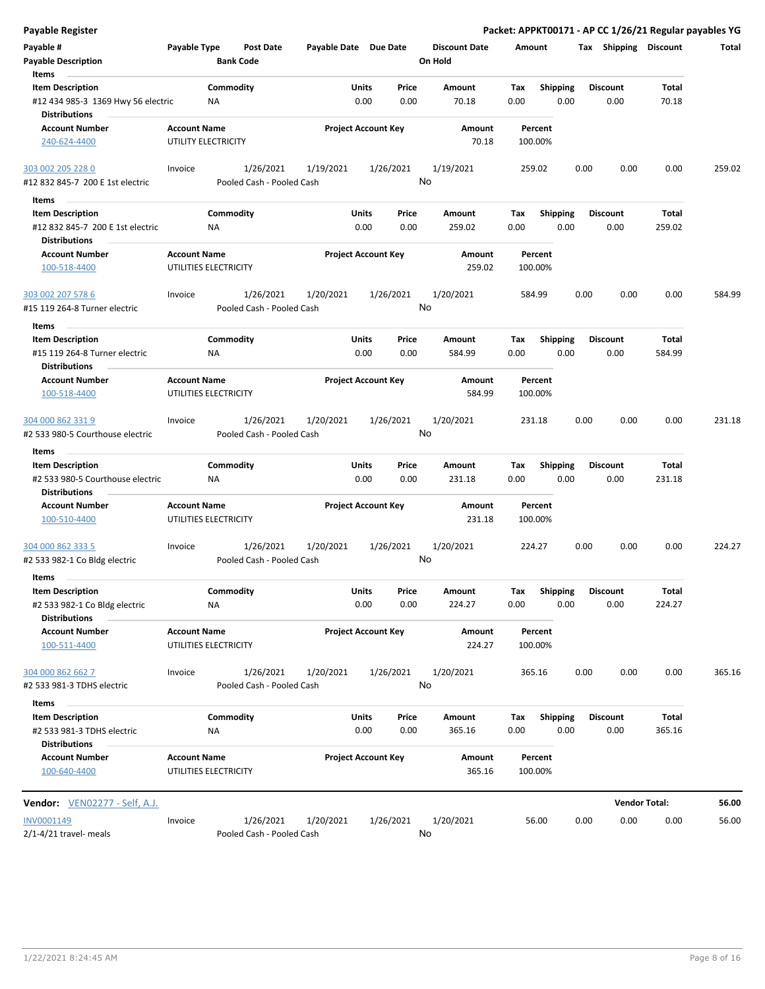| <b>Payable Register</b>                                                             |                                              |                  |                                        |                       |                            |               |                                 |             |                         |      |                         | Packet: APPKT00171 - AP CC 1/26/21 Regular payables YG |        |
|-------------------------------------------------------------------------------------|----------------------------------------------|------------------|----------------------------------------|-----------------------|----------------------------|---------------|---------------------------------|-------------|-------------------------|------|-------------------------|--------------------------------------------------------|--------|
| Payable #<br><b>Payable Description</b>                                             | Payable Type                                 | <b>Bank Code</b> | <b>Post Date</b>                       | Payable Date Due Date |                            |               | <b>Discount Date</b><br>On Hold |             | Amount                  |      | Tax Shipping Discount   |                                                        | Total  |
| Items                                                                               |                                              |                  |                                        |                       |                            |               |                                 |             |                         |      |                         |                                                        |        |
| <b>Item Description</b>                                                             |                                              | Commodity        |                                        |                       | <b>Units</b>               | Price         | Amount                          | Tax         | <b>Shipping</b>         |      | <b>Discount</b>         | Total                                                  |        |
| #12 434 985-3 1369 Hwy 56 electric<br><b>Distributions</b>                          |                                              | ΝA               |                                        |                       | 0.00                       | 0.00          | 70.18                           | 0.00        | 0.00                    |      | 0.00                    | 70.18                                                  |        |
| <b>Account Number</b><br>240-624-4400                                               | <b>Account Name</b><br>UTILITY ELECTRICITY   |                  |                                        |                       | <b>Project Account Key</b> |               | Amount<br>70.18                 |             | Percent<br>100.00%      |      |                         |                                                        |        |
| 303 002 205 228 0                                                                   | Invoice                                      |                  | 1/26/2021                              | 1/19/2021             |                            | 1/26/2021     | 1/19/2021                       |             | 259.02                  | 0.00 | 0.00                    | 0.00                                                   | 259.02 |
| #12 832 845-7 200 E 1st electric                                                    |                                              |                  | Pooled Cash - Pooled Cash              |                       |                            |               | No                              |             |                         |      |                         |                                                        |        |
| Items                                                                               |                                              |                  |                                        |                       |                            |               |                                 |             |                         |      |                         |                                                        |        |
| <b>Item Description</b><br>#12 832 845-7 200 E 1st electric<br><b>Distributions</b> |                                              | Commodity<br>ΝA  |                                        |                       | Units<br>0.00              | Price<br>0.00 | Amount<br>259.02                | Tax<br>0.00 | <b>Shipping</b><br>0.00 |      | <b>Discount</b><br>0.00 | <b>Total</b><br>259.02                                 |        |
| <b>Account Number</b><br>100-518-4400                                               | <b>Account Name</b><br>UTILITIES ELECTRICITY |                  |                                        |                       | <b>Project Account Key</b> |               | Amount<br>259.02                |             | Percent<br>100.00%      |      |                         |                                                        |        |
| 303 002 207 578 6<br>#15 119 264-8 Turner electric                                  | Invoice                                      |                  | 1/26/2021<br>Pooled Cash - Pooled Cash | 1/20/2021             |                            | 1/26/2021     | 1/20/2021<br>No                 |             | 584.99                  | 0.00 | 0.00                    | 0.00                                                   | 584.99 |
| Items                                                                               |                                              |                  |                                        |                       |                            |               |                                 |             |                         |      |                         |                                                        |        |
| <b>Item Description</b>                                                             |                                              | Commodity        |                                        |                       | Units                      | Price         | Amount                          | Tax         | <b>Shipping</b>         |      | <b>Discount</b>         | Total                                                  |        |
| #15 119 264-8 Turner electric<br><b>Distributions</b>                               |                                              | NA               |                                        |                       | 0.00                       | 0.00          | 584.99                          | 0.00        | 0.00                    |      | 0.00                    | 584.99                                                 |        |
| <b>Account Number</b><br>100-518-4400                                               | <b>Account Name</b><br>UTILITIES ELECTRICITY |                  |                                        |                       | <b>Project Account Key</b> |               | Amount<br>584.99                |             | Percent<br>100.00%      |      |                         |                                                        |        |
| 304 000 862 331 9<br>#2 533 980-5 Courthouse electric                               | Invoice                                      |                  | 1/26/2021<br>Pooled Cash - Pooled Cash | 1/20/2021             |                            | 1/26/2021     | 1/20/2021<br>No                 |             | 231.18                  | 0.00 | 0.00                    | 0.00                                                   | 231.18 |
| Items                                                                               |                                              |                  |                                        |                       |                            |               |                                 |             |                         |      |                         |                                                        |        |
| <b>Item Description</b>                                                             |                                              | Commodity        |                                        |                       | Units                      | Price         | Amount                          | Tax         | <b>Shipping</b>         |      | <b>Discount</b>         | Total                                                  |        |
| #2 533 980-5 Courthouse electric<br><b>Distributions</b>                            |                                              | <b>NA</b>        |                                        |                       | 0.00                       | 0.00          | 231.18                          | 0.00        | 0.00                    |      | 0.00                    | 231.18                                                 |        |
| <b>Account Number</b><br>100-510-4400                                               | <b>Account Name</b><br>UTILITIES ELECTRICITY |                  |                                        |                       | <b>Project Account Key</b> |               | Amount<br>231.18                |             | Percent<br>100.00%      |      |                         |                                                        |        |
| 304 000 862 333 5<br>#2 533 982-1 Co Bldg electric                                  | Invoice                                      |                  | 1/26/2021<br>Pooled Cash - Pooled Cash | 1/20/2021             |                            | 1/26/2021     | 1/20/2021<br>No                 |             | 224.27                  | 0.00 | 0.00                    | 0.00                                                   | 224.27 |
| Items<br><b>Item Description</b><br>#2 533 982-1 Co Bldg electric                   |                                              | Commodity<br>NA  |                                        |                       | Units<br>0.00              | Price<br>0.00 | Amount<br>224.27                | Tax<br>0.00 | <b>Shipping</b><br>0.00 |      | <b>Discount</b><br>0.00 | Total<br>224.27                                        |        |
| <b>Distributions</b>                                                                |                                              |                  |                                        |                       |                            |               |                                 |             |                         |      |                         |                                                        |        |
| <b>Account Number</b><br>100-511-4400                                               | <b>Account Name</b><br>UTILITIES ELECTRICITY |                  |                                        |                       | <b>Project Account Key</b> |               | Amount<br>224.27                |             | Percent<br>100.00%      |      |                         |                                                        |        |
| 304 000 862 662 7<br>#2 533 981-3 TDHS electric                                     | Invoice                                      |                  | 1/26/2021<br>Pooled Cash - Pooled Cash | 1/20/2021             |                            | 1/26/2021     | 1/20/2021<br>No                 |             | 365.16                  | 0.00 | 0.00                    | 0.00                                                   | 365.16 |
| Items                                                                               |                                              |                  |                                        |                       |                            |               |                                 |             |                         |      |                         |                                                        |        |
| <b>Item Description</b><br>#2 533 981-3 TDHS electric<br><b>Distributions</b>       |                                              | Commodity<br>NA  |                                        |                       | Units<br>0.00              | Price<br>0.00 | Amount<br>365.16                | Tax<br>0.00 | <b>Shipping</b><br>0.00 |      | <b>Discount</b><br>0.00 | Total<br>365.16                                        |        |
| <b>Account Number</b><br>100-640-4400                                               | <b>Account Name</b><br>UTILITIES ELECTRICITY |                  |                                        |                       | <b>Project Account Key</b> |               | Amount<br>365.16                |             | Percent<br>100.00%      |      |                         |                                                        |        |
| Vendor: VEN02277 - Self, A.J.                                                       |                                              |                  |                                        |                       |                            |               |                                 |             |                         |      |                         | <b>Vendor Total:</b>                                   | 56.00  |
| INV0001149<br>$2/1 - 4/21$ travel- meals                                            | Invoice                                      |                  | 1/26/2021<br>Pooled Cash - Pooled Cash | 1/20/2021             |                            | 1/26/2021     | 1/20/2021<br>No                 |             | 56.00                   | 0.00 | 0.00                    | 0.00                                                   | 56.00  |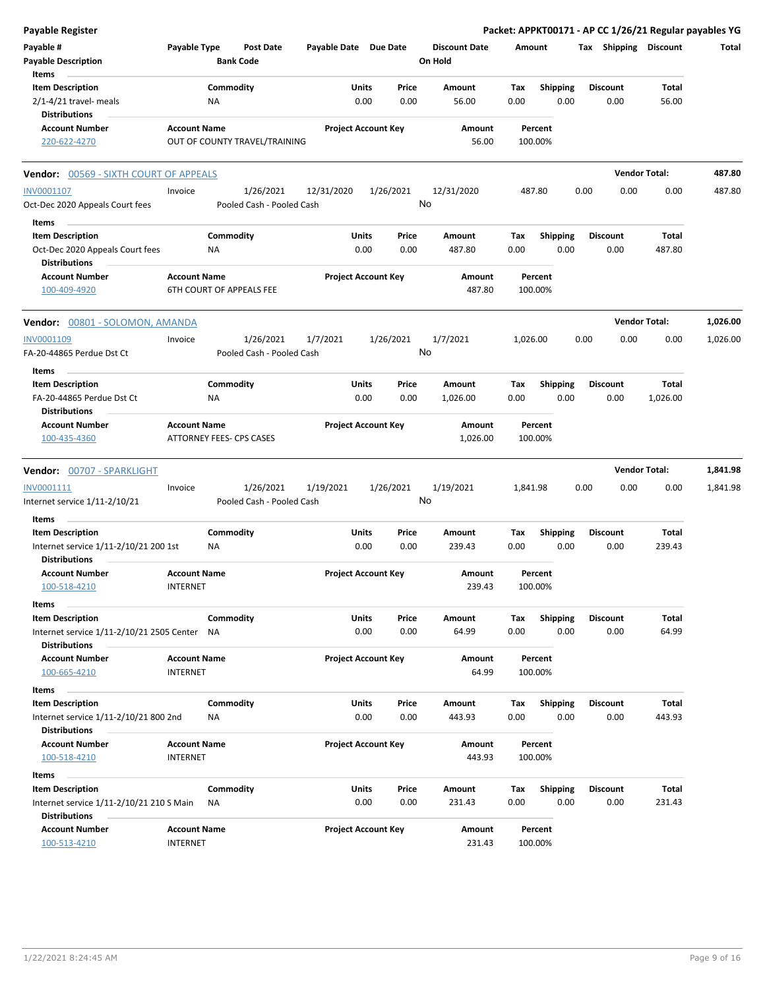| Payable Register                                                                   |                                        |                               |                       |                                       |                                 |             |                         |      |                         | Packet: APPKT00171 - AP CC 1/26/21 Regular payables YG |              |
|------------------------------------------------------------------------------------|----------------------------------------|-------------------------------|-----------------------|---------------------------------------|---------------------------------|-------------|-------------------------|------|-------------------------|--------------------------------------------------------|--------------|
| Payable #<br><b>Payable Description</b>                                            | Payable Type                           | Post Date<br><b>Bank Code</b> | Payable Date Due Date |                                       | <b>Discount Date</b><br>On Hold | Amount      |                         |      | Tax Shipping Discount   |                                                        | <b>Total</b> |
| Items<br><b>Item Description</b><br>$2/1 - 4/21$ travel- meals                     |                                        | Commodity<br><b>NA</b>        |                       | Price<br>Units<br>0.00<br>0.00        | Amount<br>56.00                 | Tax<br>0.00 | <b>Shipping</b><br>0.00 |      | <b>Discount</b><br>0.00 | Total<br>56.00                                         |              |
| <b>Distributions</b>                                                               |                                        |                               |                       |                                       |                                 |             |                         |      |                         |                                                        |              |
| <b>Account Number</b><br>220-622-4270                                              | <b>Account Name</b>                    | OUT OF COUNTY TRAVEL/TRAINING |                       | <b>Project Account Key</b>            | Amount<br>56.00                 |             | Percent<br>100.00%      |      |                         |                                                        |              |
| Vendor: 00569 - SIXTH COURT OF APPEALS                                             |                                        |                               |                       |                                       |                                 |             |                         |      |                         | <b>Vendor Total:</b>                                   | 487.80       |
| INV0001107                                                                         | Invoice                                | 1/26/2021                     | 12/31/2020            | 1/26/2021                             | 12/31/2020                      | 487.80      |                         | 0.00 | 0.00                    | 0.00                                                   | 487.80       |
| Oct-Dec 2020 Appeals Court fees                                                    |                                        | Pooled Cash - Pooled Cash     |                       |                                       | No                              |             |                         |      |                         |                                                        |              |
| Items                                                                              |                                        |                               |                       |                                       |                                 |             |                         |      |                         |                                                        |              |
| <b>Item Description</b><br>Oct-Dec 2020 Appeals Court fees<br><b>Distributions</b> |                                        | Commodity<br>ΝA               |                       | Units<br>Price<br>0.00<br>0.00        | Amount<br>487.80                | Тах<br>0.00 | <b>Shipping</b><br>0.00 |      | <b>Discount</b><br>0.00 | Total<br>487.80                                        |              |
| <b>Account Number</b><br>100-409-4920                                              | <b>Account Name</b>                    | 6TH COURT OF APPEALS FEE      |                       | <b>Project Account Key</b>            | Amount<br>487.80                |             | Percent<br>100.00%      |      |                         |                                                        |              |
| Vendor: 00801 - SOLOMON, AMANDA                                                    |                                        |                               |                       |                                       |                                 |             |                         |      |                         | <b>Vendor Total:</b>                                   | 1,026.00     |
| INV0001109                                                                         | Invoice                                | 1/26/2021                     | 1/7/2021              | 1/26/2021                             | 1/7/2021                        | 1,026.00    |                         | 0.00 | 0.00                    | 0.00                                                   | 1,026.00     |
| FA-20-44865 Perdue Dst Ct<br>Items                                                 |                                        | Pooled Cash - Pooled Cash     |                       |                                       | No                              |             |                         |      |                         |                                                        |              |
| <b>Item Description</b>                                                            |                                        | Commodity                     |                       | Units<br>Price                        | Amount                          | Тах         | Shipping                |      | <b>Discount</b>         | <b>Total</b>                                           |              |
| FA-20-44865 Perdue Dst Ct<br><b>Distributions</b>                                  |                                        | NA.                           |                       | 0.00<br>0.00                          | 1,026.00                        | 0.00        | 0.00                    |      | 0.00                    | 1,026.00                                               |              |
| <b>Account Number</b><br>100-435-4360                                              | <b>Account Name</b>                    | ATTORNEY FEES- CPS CASES      |                       | <b>Project Account Key</b>            | Amount<br>1,026.00              |             | Percent<br>100.00%      |      |                         |                                                        |              |
| Vendor: 00707 - SPARKLIGHT                                                         |                                        |                               |                       |                                       |                                 |             |                         |      |                         | <b>Vendor Total:</b>                                   | 1,841.98     |
| INV0001111                                                                         | Invoice                                | 1/26/2021                     | 1/19/2021             | 1/26/2021                             | 1/19/2021                       | 1,841.98    |                         | 0.00 | 0.00                    | 0.00                                                   | 1,841.98     |
| Internet service 1/11-2/10/21                                                      |                                        | Pooled Cash - Pooled Cash     |                       |                                       | No                              |             |                         |      |                         |                                                        |              |
| Items                                                                              |                                        |                               |                       |                                       |                                 |             |                         |      |                         |                                                        |              |
| <b>Item Description</b>                                                            |                                        | Commodity                     |                       | Units<br>Price                        | Amount                          | Тах         | <b>Shipping</b>         |      | <b>Discount</b>         | Total                                                  |              |
| Internet service 1/11-2/10/21 200 1st<br><b>Distributions</b>                      |                                        | ΝA                            |                       | 0.00<br>0.00                          | 239.43                          | 0.00        | 0.00                    |      | 0.00                    | 239.43                                                 |              |
| <b>Account Number</b>                                                              | <b>Account Name</b>                    |                               |                       | <b>Project Account Key</b>            | Amount                          |             | Percent                 |      |                         |                                                        |              |
| 100-518-4210                                                                       | INTERNET                               |                               |                       |                                       | 239.43                          |             | 100.00%                 |      |                         |                                                        |              |
| Items                                                                              |                                        |                               |                       |                                       |                                 |             |                         |      |                         |                                                        |              |
| <b>Item Description</b><br>Internet service 1/11-2/10/21 2505 Center NA            |                                        | Commodity                     |                       | <b>Units</b><br>Price<br>0.00<br>0.00 | Amount<br>64.99                 | Tax<br>0.00 | <b>Shipping</b><br>0.00 |      | <b>Discount</b><br>0.00 | Total<br>64.99                                         |              |
| <b>Distributions</b>                                                               |                                        |                               |                       |                                       |                                 |             |                         |      |                         |                                                        |              |
| <b>Account Number</b>                                                              | <b>Account Name</b>                    |                               |                       | <b>Project Account Key</b>            | Amount                          |             | Percent                 |      |                         |                                                        |              |
| 100-665-4210                                                                       | <b>INTERNET</b>                        |                               |                       |                                       | 64.99                           |             | 100.00%                 |      |                         |                                                        |              |
| Items                                                                              |                                        |                               |                       |                                       |                                 |             |                         |      |                         |                                                        |              |
| <b>Item Description</b>                                                            |                                        | Commodity                     |                       | <b>Units</b><br>Price                 | Amount                          | Tax         | <b>Shipping</b>         |      | <b>Discount</b>         | Total                                                  |              |
| Internet service 1/11-2/10/21 800 2nd                                              |                                        | NA                            |                       | 0.00<br>0.00                          | 443.93                          | 0.00        | 0.00                    |      | 0.00                    | 443.93                                                 |              |
| <b>Distributions</b>                                                               |                                        |                               |                       |                                       |                                 |             |                         |      |                         |                                                        |              |
| <b>Account Number</b><br>100-518-4210                                              | <b>Account Name</b><br><b>INTERNET</b> |                               |                       | <b>Project Account Key</b>            | Amount<br>443.93                |             | Percent<br>100.00%      |      |                         |                                                        |              |
| Items                                                                              |                                        |                               |                       |                                       |                                 |             |                         |      |                         |                                                        |              |
| <b>Item Description</b>                                                            |                                        | Commodity                     |                       | Units<br>Price                        | Amount                          | Tax         | Shipping                |      | <b>Discount</b>         | Total                                                  |              |
| Internet service 1/11-2/10/21 210 S Main                                           |                                        | ΝA                            |                       | 0.00<br>0.00                          | 231.43                          | 0.00        | 0.00                    |      | 0.00                    | 231.43                                                 |              |
| <b>Distributions</b>                                                               |                                        |                               |                       |                                       |                                 |             |                         |      |                         |                                                        |              |
| <b>Account Number</b><br>100-513-4210                                              | <b>Account Name</b><br><b>INTERNET</b> |                               |                       | <b>Project Account Key</b>            | Amount<br>231.43                |             | Percent<br>100.00%      |      |                         |                                                        |              |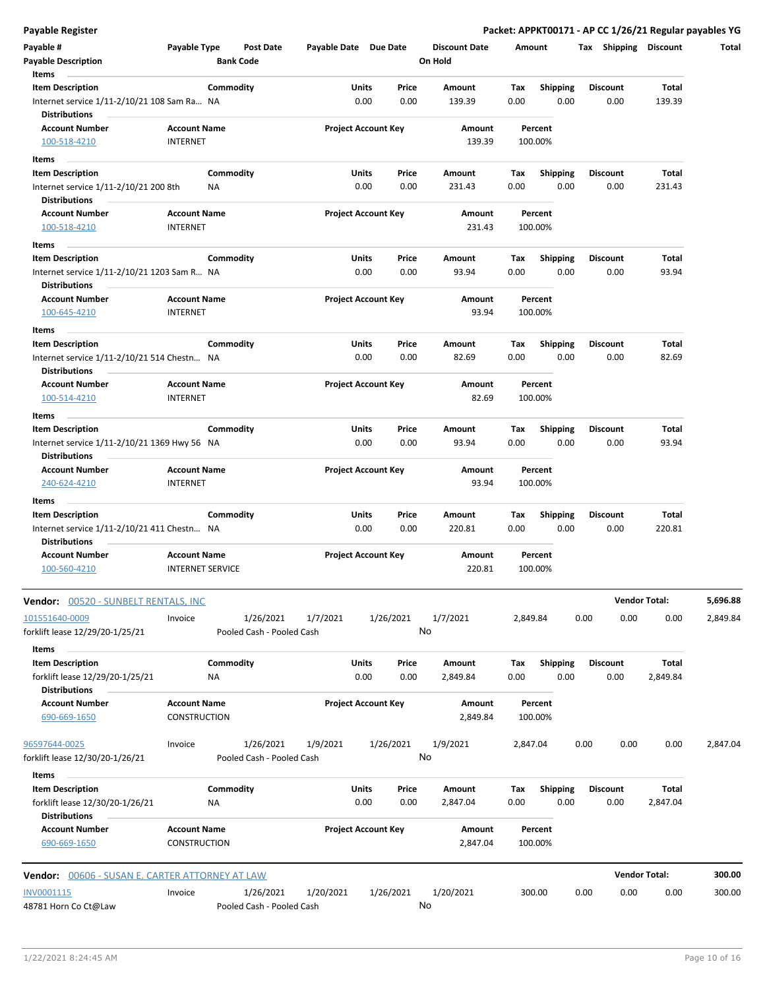**Payable Register Packet: APPKT00171 - AP CC 1/26/21 Regular payables YG**

| Payable #                                                            | Payable Type                           |                         | Post Date                 | Payable Date Due Date |                      |                            | <b>Discount Date</b> | Amount      |                         |      | Tax Shipping            | <b>Discount</b>      | Total    |
|----------------------------------------------------------------------|----------------------------------------|-------------------------|---------------------------|-----------------------|----------------------|----------------------------|----------------------|-------------|-------------------------|------|-------------------------|----------------------|----------|
| <b>Payable Description</b>                                           |                                        | <b>Bank Code</b>        |                           |                       |                      |                            | On Hold              |             |                         |      |                         |                      |          |
| Items                                                                |                                        |                         |                           |                       |                      |                            |                      |             |                         |      |                         |                      |          |
| <b>Item Description</b>                                              |                                        | Commodity               |                           |                       | Units                | Price                      | Amount               | Tax         | <b>Shipping</b>         |      | <b>Discount</b>         | Total                |          |
| Internet service 1/11-2/10/21 108 Sam Ra NA<br><b>Distributions</b>  |                                        |                         |                           |                       | 0.00                 | 0.00                       | 139.39               | 0.00        | 0.00                    |      | 0.00                    | 139.39               |          |
| <b>Account Number</b><br>100-518-4210                                | <b>Account Name</b><br><b>INTERNET</b> |                         |                           |                       |                      | <b>Project Account Key</b> | Amount<br>139.39     |             | Percent<br>100.00%      |      |                         |                      |          |
|                                                                      |                                        |                         |                           |                       |                      |                            |                      |             |                         |      |                         |                      |          |
| Items                                                                |                                        |                         |                           |                       |                      |                            |                      |             |                         |      |                         |                      |          |
| <b>Item Description</b>                                              |                                        | Commodity               |                           |                       | Units                | Price                      | Amount               | Tax         | <b>Shipping</b>         |      | <b>Discount</b>         | Total                |          |
| Internet service 1/11-2/10/21 200 8th                                |                                        | NA                      |                           |                       | 0.00                 | 0.00                       | 231.43               | 0.00        | 0.00                    |      | 0.00                    | 231.43               |          |
| <b>Distributions</b>                                                 |                                        |                         |                           |                       |                      |                            |                      |             |                         |      |                         |                      |          |
| <b>Account Number</b><br>100-518-4210                                | <b>Account Name</b><br><b>INTERNET</b> |                         |                           |                       |                      | <b>Project Account Key</b> | Amount<br>231.43     |             | Percent<br>100.00%      |      |                         |                      |          |
| Items                                                                |                                        |                         |                           |                       |                      |                            |                      |             |                         |      |                         |                      |          |
| <b>Item Description</b>                                              |                                        | Commodity               |                           |                       | <b>Units</b>         | Price                      | Amount               | Tax         | <b>Shipping</b>         |      | <b>Discount</b>         | Total                |          |
| Internet service 1/11-2/10/21 1203 Sam R NA                          |                                        |                         |                           |                       | 0.00                 | 0.00                       | 93.94                | 0.00        | 0.00                    |      | 0.00                    | 93.94                |          |
| <b>Distributions</b>                                                 |                                        |                         |                           |                       |                      |                            |                      |             |                         |      |                         |                      |          |
| <b>Account Number</b><br>100-645-4210                                | <b>Account Name</b><br><b>INTERNET</b> |                         |                           |                       |                      | <b>Project Account Key</b> | Amount<br>93.94      |             | Percent<br>100.00%      |      |                         |                      |          |
| Items                                                                |                                        |                         |                           |                       |                      |                            |                      |             |                         |      |                         |                      |          |
| <b>Item Description</b>                                              |                                        | Commodity               |                           |                       | Units                | Price                      | Amount               | Tax         | <b>Shipping</b>         |      | <b>Discount</b>         | Total                |          |
| Internet service 1/11-2/10/21 514 Chestn NA<br><b>Distributions</b>  |                                        |                         |                           |                       | 0.00                 | 0.00                       | 82.69                | 0.00        | 0.00                    |      | 0.00                    | 82.69                |          |
| <b>Account Number</b><br>100-514-4210                                | <b>Account Name</b><br><b>INTERNET</b> |                         |                           |                       |                      | <b>Project Account Key</b> | Amount<br>82.69      |             | Percent<br>100.00%      |      |                         |                      |          |
|                                                                      |                                        |                         |                           |                       |                      |                            |                      |             |                         |      |                         |                      |          |
| Items                                                                |                                        |                         |                           |                       |                      |                            |                      |             |                         |      |                         |                      |          |
| <b>Item Description</b>                                              |                                        | Commodity               |                           |                       | <b>Units</b>         | Price                      | Amount               | Tax         | <b>Shipping</b>         |      | <b>Discount</b>         | Total                |          |
| Internet service 1/11-2/10/21 1369 Hwy 56 NA<br><b>Distributions</b> |                                        |                         |                           |                       | 0.00                 | 0.00                       | 93.94                | 0.00        | 0.00                    |      | 0.00                    | 93.94                |          |
| <b>Account Number</b>                                                | <b>Account Name</b>                    |                         |                           |                       |                      | <b>Project Account Key</b> | Amount               |             | Percent                 |      |                         |                      |          |
| 240-624-4210                                                         | <b>INTERNET</b>                        |                         |                           |                       |                      |                            | 93.94                |             | 100.00%                 |      |                         |                      |          |
|                                                                      |                                        |                         |                           |                       |                      |                            |                      |             |                         |      |                         |                      |          |
| Items                                                                |                                        |                         |                           |                       |                      |                            |                      |             |                         |      |                         |                      |          |
| <b>Item Description</b>                                              |                                        | Commodity               |                           |                       | <b>Units</b>         | Price                      | Amount               | Tax         | <b>Shipping</b>         |      | <b>Discount</b>         | Total                |          |
| Internet service 1/11-2/10/21 411 Chestn NA                          |                                        |                         |                           |                       | 0.00                 | 0.00                       | 220.81               | 0.00        | 0.00                    |      | 0.00                    | 220.81               |          |
| <b>Distributions</b>                                                 |                                        |                         |                           |                       |                      |                            |                      |             |                         |      |                         |                      |          |
| <b>Account Number</b><br>100-560-4210                                | <b>Account Name</b>                    | <b>INTERNET SERVICE</b> |                           |                       |                      | <b>Project Account Key</b> | Amount<br>220.81     |             | Percent<br>100.00%      |      |                         |                      |          |
| Vendor: 00520 - SUNBELT RENTALS, INC                                 |                                        |                         |                           |                       |                      |                            |                      |             |                         |      |                         | <b>Vendor Total:</b> | 5,696.88 |
| 101551640-0009                                                       | Invoice                                |                         | 1/26/2021                 | 1/7/2021              |                      | 1/26/2021                  | 1/7/2021             | 2,849.84    |                         | 0.00 | 0.00                    | 0.00                 | 2,849.84 |
| forklift lease 12/29/20-1/25/21                                      |                                        |                         | Pooled Cash - Pooled Cash |                       |                      |                            | No                   |             |                         |      |                         |                      |          |
|                                                                      |                                        |                         |                           |                       |                      |                            |                      |             |                         |      |                         |                      |          |
| Items<br><b>Item Description</b><br>forklift lease 12/29/20-1/25/21  |                                        | Commodity<br>NA         |                           |                       | <b>Units</b><br>0.00 | Price<br>0.00              | Amount<br>2,849.84   | Tax<br>0.00 | <b>Shipping</b><br>0.00 |      | <b>Discount</b><br>0.00 | Total<br>2,849.84    |          |
| <b>Distributions</b>                                                 |                                        |                         |                           |                       |                      |                            |                      |             |                         |      |                         |                      |          |
| <b>Account Number</b><br>690-669-1650                                | <b>Account Name</b><br>CONSTRUCTION    |                         |                           |                       |                      | <b>Project Account Key</b> | Amount<br>2,849.84   |             | Percent<br>100.00%      |      |                         |                      |          |
| 96597644-0025                                                        | Invoice                                |                         | 1/26/2021                 | 1/9/2021              |                      | 1/26/2021                  | 1/9/2021             | 2,847.04    |                         | 0.00 | 0.00                    | 0.00                 | 2,847.04 |
| forklift lease 12/30/20-1/26/21<br>Items                             |                                        |                         | Pooled Cash - Pooled Cash |                       |                      |                            | No                   |             |                         |      |                         |                      |          |
| <b>Item Description</b>                                              |                                        | Commodity               |                           |                       | <b>Units</b>         | Price                      | Amount               | Tax         | <b>Shipping</b>         |      | <b>Discount</b>         | Total                |          |
| forklift lease 12/30/20-1/26/21<br><b>Distributions</b>              |                                        | ΝA                      |                           |                       | 0.00                 | 0.00                       | 2,847.04             | 0.00        | 0.00                    |      | 0.00                    | 2,847.04             |          |
| <b>Account Number</b>                                                | <b>Account Name</b>                    |                         |                           |                       |                      | <b>Project Account Key</b> | Amount               |             | Percent                 |      |                         |                      |          |
| 690-669-1650                                                         | CONSTRUCTION                           |                         |                           |                       |                      |                            | 2,847.04             |             | 100.00%                 |      |                         |                      |          |
| <b>Vendor: 00606 - SUSAN E. CARTER ATTORNEY AT LAW</b>               |                                        |                         |                           |                       |                      |                            |                      |             |                         |      |                         | <b>Vendor Total:</b> | 300.00   |
| INV0001115                                                           | Invoice                                |                         | 1/26/2021                 | 1/20/2021             |                      | 1/26/2021                  | 1/20/2021            |             | 300.00                  | 0.00 | 0.00                    | 0.00                 | 300.00   |
| 48781 Horn Co Ct@Law                                                 |                                        |                         | Pooled Cash - Pooled Cash |                       |                      |                            | No                   |             |                         |      |                         |                      |          |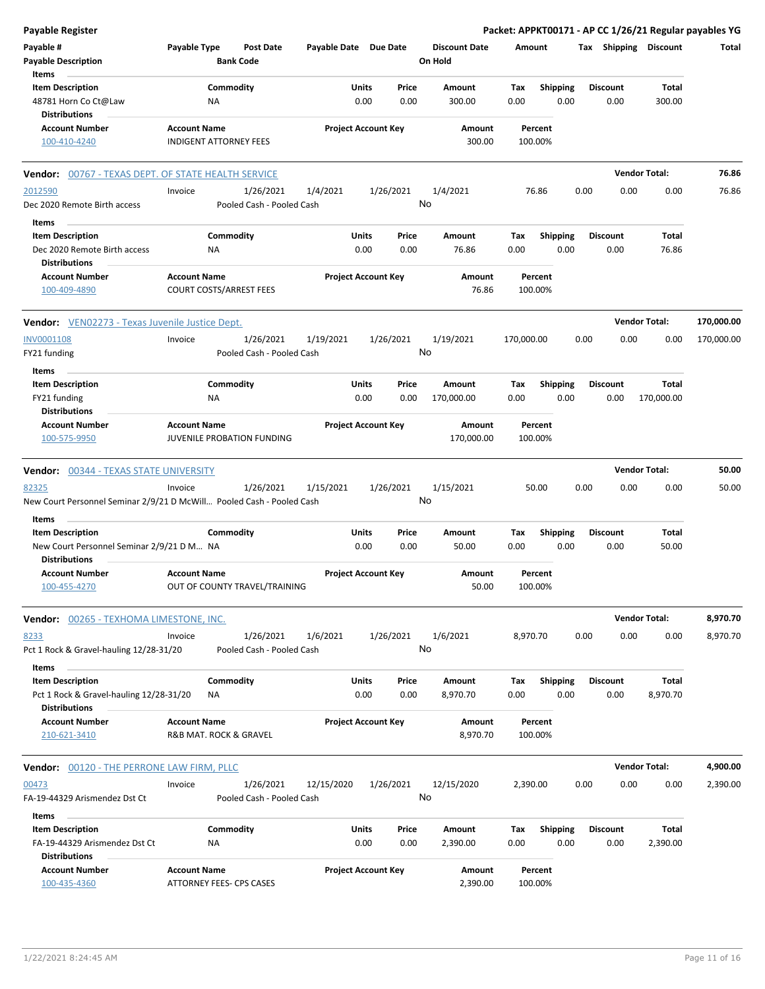| <b>Payable Register</b>                                                                               |                                                       |                                        |                       |                            |                                 |             |                         |      |                         |                       | Packet: APPKT00171 - AP CC 1/26/21 Regular payables YG |
|-------------------------------------------------------------------------------------------------------|-------------------------------------------------------|----------------------------------------|-----------------------|----------------------------|---------------------------------|-------------|-------------------------|------|-------------------------|-----------------------|--------------------------------------------------------|
| Payable #<br><b>Payable Description</b>                                                               | Payable Type<br><b>Bank Code</b>                      | Post Date                              | Payable Date Due Date |                            | <b>Discount Date</b><br>On Hold | Amount      |                         |      |                         | Tax Shipping Discount | Total                                                  |
| Items<br><b>Item Description</b><br>48781 Horn Co Ct@Law<br><b>Distributions</b>                      | Commodity<br>NA                                       |                                        | Units                 | Price<br>0.00<br>0.00      | Amount<br>300.00                | Tax<br>0.00 | <b>Shipping</b><br>0.00 |      | <b>Discount</b><br>0.00 | Total<br>300.00       |                                                        |
| <b>Account Number</b><br>100-410-4240                                                                 | <b>Account Name</b><br><b>INDIGENT ATTORNEY FEES</b>  |                                        |                       | <b>Project Account Key</b> | Amount<br>300.00                |             | Percent<br>100.00%      |      |                         |                       |                                                        |
| Vendor: 00767 - TEXAS DEPT. OF STATE HEALTH SERVICE                                                   |                                                       |                                        |                       |                            |                                 |             |                         |      |                         | <b>Vendor Total:</b>  | 76.86                                                  |
| 2012590<br>Dec 2020 Remote Birth access                                                               | Invoice                                               | 1/26/2021<br>Pooled Cash - Pooled Cash | 1/4/2021              | 1/26/2021                  | 1/4/2021<br>No                  |             | 76.86                   | 0.00 | 0.00                    | 0.00                  | 76.86                                                  |
| Items<br><b>Item Description</b><br>Dec 2020 Remote Birth access<br><b>Distributions</b>              | Commodity<br>NA                                       |                                        | Units                 | Price<br>0.00<br>0.00      | Amount<br>76.86                 | Тах<br>0.00 | <b>Shipping</b><br>0.00 |      | <b>Discount</b><br>0.00 | Total<br>76.86        |                                                        |
| <b>Account Number</b><br>100-409-4890                                                                 | <b>Account Name</b><br><b>COURT COSTS/ARREST FEES</b> |                                        |                       | <b>Project Account Key</b> | Amount<br>76.86                 |             | Percent<br>100.00%      |      |                         |                       |                                                        |
| <b>Vendor:</b> VEN02273 - Texas Juvenile Justice Dept.                                                |                                                       |                                        |                       |                            |                                 |             |                         |      |                         | <b>Vendor Total:</b>  | 170,000.00                                             |
| <b>INV0001108</b><br>FY21 funding                                                                     | Invoice                                               | 1/26/2021<br>Pooled Cash - Pooled Cash | 1/19/2021             | 1/26/2021                  | 1/19/2021<br>No                 | 170,000.00  |                         | 0.00 | 0.00                    | 0.00                  | 170,000.00                                             |
| Items<br><b>Item Description</b><br>FY21 funding                                                      | Commodity<br>ΝA                                       |                                        | Units                 | Price<br>0.00<br>0.00      | Amount<br>170,000.00            | Тах<br>0.00 | <b>Shipping</b><br>0.00 |      | <b>Discount</b><br>0.00 | Total<br>170,000.00   |                                                        |
| <b>Distributions</b><br><b>Account Number</b><br>100-575-9950                                         | <b>Account Name</b><br>JUVENILE PROBATION FUNDING     |                                        |                       | <b>Project Account Key</b> | Amount<br>170,000.00            |             | Percent<br>100.00%      |      |                         |                       |                                                        |
| <b>Vendor:</b> 00344 - TEXAS STATE UNIVERSITY                                                         |                                                       |                                        |                       |                            |                                 |             |                         |      |                         | <b>Vendor Total:</b>  | 50.00                                                  |
| 82325<br>New Court Personnel Seminar 2/9/21 D McWill Pooled Cash - Pooled Cash                        | Invoice                                               | 1/26/2021                              | 1/15/2021             | 1/26/2021                  | 1/15/2021<br>No                 |             | 50.00                   | 0.00 | 0.00                    | 0.00                  | 50.00                                                  |
| Items<br><b>Item Description</b><br>New Court Personnel Seminar 2/9/21 D M NA<br><b>Distributions</b> | Commodity                                             |                                        | Units                 | Price<br>0.00<br>0.00      | Amount<br>50.00                 | Тах<br>0.00 | Shipping<br>0.00        |      | <b>Discount</b><br>0.00 | Total<br>50.00        |                                                        |
| <b>Account Number</b><br>100-455-4270                                                                 | <b>Account Name</b><br>OUT OF COUNTY TRAVEL/TRAINING  |                                        |                       | <b>Project Account Key</b> | Amount<br>50.00                 |             | Percent<br>100.00%      |      |                         |                       |                                                        |
| Vendor: 00265 - TEXHOMA LIMESTONE, INC.                                                               |                                                       |                                        |                       |                            |                                 |             |                         |      |                         | <b>Vendor Total:</b>  | 8,970.70                                               |
| 8233<br>Pct 1 Rock & Gravel-hauling 12/28-31/20                                                       | Invoice                                               | 1/26/2021<br>Pooled Cash - Pooled Cash | 1/6/2021              | 1/26/2021                  | 1/6/2021<br>No                  | 8,970.70    |                         | 0.00 | 0.00                    | 0.00                  | 8,970.70                                               |
| Items<br><b>Item Description</b><br>Pct 1 Rock & Gravel-hauling 12/28-31/20<br><b>Distributions</b>   | Commodity<br>ΝA                                       |                                        | <b>Units</b>          | Price<br>0.00<br>0.00      | Amount<br>8,970.70              | Tax<br>0.00 | <b>Shipping</b><br>0.00 |      | <b>Discount</b><br>0.00 | Total<br>8,970.70     |                                                        |
| <b>Account Number</b><br>210-621-3410                                                                 | <b>Account Name</b><br>R&B MAT. ROCK & GRAVEL         |                                        |                       | <b>Project Account Key</b> | Amount<br>8,970.70              |             | Percent<br>100.00%      |      |                         |                       |                                                        |
| <b>Vendor: 00120 - THE PERRONE LAW FIRM, PLLC</b>                                                     |                                                       |                                        |                       |                            |                                 |             |                         |      |                         | <b>Vendor Total:</b>  | 4,900.00                                               |
| 00473<br>FA-19-44329 Arismendez Dst Ct                                                                | Invoice                                               | 1/26/2021<br>Pooled Cash - Pooled Cash | 12/15/2020            | 1/26/2021                  | 12/15/2020<br>No                | 2,390.00    |                         | 0.00 | 0.00                    | 0.00                  | 2,390.00                                               |
| Items<br><b>Item Description</b><br>FA-19-44329 Arismendez Dst Ct                                     | Commodity<br><b>NA</b>                                |                                        | <b>Units</b>          | Price<br>0.00<br>0.00      | Amount<br>2,390.00              | Tax<br>0.00 | <b>Shipping</b><br>0.00 |      | <b>Discount</b><br>0.00 | Total<br>2,390.00     |                                                        |
| <b>Distributions</b><br><b>Account Number</b><br>100-435-4360                                         | <b>Account Name</b><br>ATTORNEY FEES- CPS CASES       |                                        |                       | <b>Project Account Key</b> | Amount<br>2,390.00              |             | Percent<br>100.00%      |      |                         |                       |                                                        |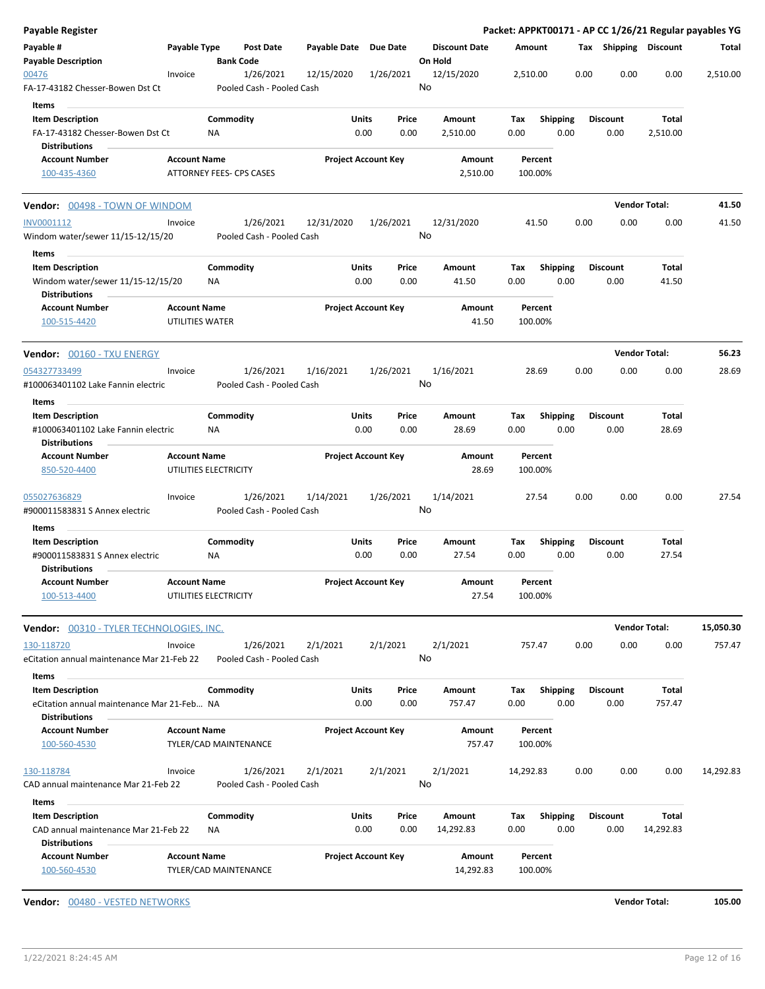| Payable Register                                                   |                     |                          |                                        |                       |                            |               |                                 |                    |                         |      |                         |                      | Packet: APPKT00171 - AP CC 1/26/21 Regular payables YG |
|--------------------------------------------------------------------|---------------------|--------------------------|----------------------------------------|-----------------------|----------------------------|---------------|---------------------------------|--------------------|-------------------------|------|-------------------------|----------------------|--------------------------------------------------------|
| Payable #<br><b>Payable Description</b>                            | Payable Type        | <b>Bank Code</b>         | <b>Post Date</b>                       | Payable Date Due Date |                            |               | <b>Discount Date</b><br>On Hold | Amount             |                         |      | Tax Shipping Discount   |                      | Total                                                  |
| 00476<br>FA-17-43182 Chesser-Bowen Dst Ct                          | Invoice             |                          | 1/26/2021<br>Pooled Cash - Pooled Cash | 12/15/2020            | 1/26/2021                  |               | 12/15/2020<br>No                | 2,510.00           |                         | 0.00 | 0.00                    | 0.00                 | 2,510.00                                               |
| Items                                                              |                     |                          |                                        |                       |                            |               |                                 |                    |                         |      |                         |                      |                                                        |
| <b>Item Description</b><br>FA-17-43182 Chesser-Bowen Dst Ct        |                     | Commodity<br>ΝA          |                                        |                       | Units<br>0.00              | Price<br>0.00 | Amount<br>2,510.00              | Tax<br>0.00        | <b>Shipping</b><br>0.00 |      | <b>Discount</b><br>0.00 | Total<br>2,510.00    |                                                        |
| <b>Distributions</b>                                               |                     |                          |                                        |                       |                            |               |                                 |                    |                         |      |                         |                      |                                                        |
| <b>Account Number</b>                                              | <b>Account Name</b> |                          |                                        |                       | <b>Project Account Key</b> |               | Amount                          | Percent            |                         |      |                         |                      |                                                        |
| 100-435-4360                                                       |                     | ATTORNEY FEES- CPS CASES |                                        |                       |                            |               | 2,510.00                        | 100.00%            |                         |      |                         |                      |                                                        |
| Vendor: 00498 - TOWN OF WINDOM                                     |                     |                          |                                        |                       |                            |               |                                 |                    |                         |      | <b>Vendor Total:</b>    |                      | 41.50                                                  |
| INV0001112<br>Windom water/sewer 11/15-12/15/20                    | Invoice             |                          | 1/26/2021<br>Pooled Cash - Pooled Cash | 12/31/2020            | 1/26/2021                  |               | 12/31/2020<br>No                | 41.50              |                         | 0.00 | 0.00                    | 0.00                 | 41.50                                                  |
| Items<br><b>Item Description</b>                                   |                     | Commodity                |                                        |                       | Units                      | Price         | Amount                          | Tax                | <b>Shipping</b>         |      | <b>Discount</b>         | Total                |                                                        |
| Windom water/sewer 11/15-12/15/20<br><b>Distributions</b>          |                     | ΝA                       |                                        |                       | 0.00                       | 0.00          | 41.50                           | 0.00               | 0.00                    |      | 0.00                    | 41.50                |                                                        |
| <b>Account Number</b>                                              | <b>Account Name</b> |                          |                                        |                       | <b>Project Account Key</b> |               | Amount                          | Percent            |                         |      |                         |                      |                                                        |
| 100-515-4420                                                       | UTILITIES WATER     |                          |                                        |                       |                            |               | 41.50                           | 100.00%            |                         |      |                         |                      |                                                        |
| <b>Vendor:</b> 00160 - TXU ENERGY                                  |                     |                          |                                        |                       |                            |               |                                 |                    |                         |      | <b>Vendor Total:</b>    |                      | 56.23                                                  |
| 054327733499                                                       | Invoice             |                          | 1/26/2021                              | 1/16/2021             | 1/26/2021                  |               | 1/16/2021                       | 28.69              |                         | 0.00 | 0.00                    | 0.00                 | 28.69                                                  |
| #100063401102 Lake Fannin electric                                 |                     |                          | Pooled Cash - Pooled Cash              |                       |                            |               | No                              |                    |                         |      |                         |                      |                                                        |
| Items<br><b>Item Description</b>                                   |                     | Commodity                |                                        |                       | Units                      | Price         | Amount                          | Tax                | <b>Shipping</b>         |      | <b>Discount</b>         | Total                |                                                        |
| #100063401102 Lake Fannin electric<br><b>Distributions</b>         |                     | ΝA                       |                                        |                       | 0.00                       | 0.00          | 28.69                           | 0.00               | 0.00                    |      | 0.00                    | 28.69                |                                                        |
| <b>Account Number</b>                                              | <b>Account Name</b> |                          |                                        |                       | <b>Project Account Key</b> |               | Amount                          | Percent            |                         |      |                         |                      |                                                        |
| 850-520-4400                                                       |                     | UTILITIES ELECTRICITY    |                                        |                       |                            |               | 28.69                           | 100.00%            |                         |      |                         |                      |                                                        |
| 055027636829<br>#900011583831 S Annex electric                     | Invoice             |                          | 1/26/2021<br>Pooled Cash - Pooled Cash | 1/14/2021             | 1/26/2021                  |               | 1/14/2021<br>No                 | 27.54              |                         | 0.00 | 0.00                    | 0.00                 | 27.54                                                  |
| Items                                                              |                     |                          |                                        |                       |                            |               |                                 |                    |                         |      |                         |                      |                                                        |
| <b>Item Description</b>                                            |                     | Commodity                |                                        |                       | Units                      | Price         | Amount                          | Tax                | <b>Shipping</b>         |      | <b>Discount</b>         | Total                |                                                        |
| #900011583831 S Annex electric<br><b>Distributions</b>             |                     | NA                       |                                        |                       | 0.00                       | 0.00          | 27.54                           | 0.00               | 0.00                    |      | 0.00                    | 27.54                |                                                        |
| <b>Account Number</b>                                              | <b>Account Name</b> |                          |                                        |                       | <b>Project Account Key</b> |               | Amount                          | Percent            |                         |      |                         |                      |                                                        |
| 100-513-4400                                                       |                     | UTILITIES ELECTRICITY    |                                        |                       |                            |               | 27.54                           | 100.00%            |                         |      |                         |                      |                                                        |
| Vendor: 00310 - TYLER TECHNOLOGIES, INC.                           |                     |                          |                                        |                       |                            |               |                                 |                    |                         |      |                         | <b>Vendor Total:</b> | 15,050.30                                              |
| 130-118720                                                         | Invoice             |                          | 1/26/2021                              | 2/1/2021              | 2/1/2021                   |               | 2/1/2021                        | 757.47             |                         | 0.00 | 0.00                    | 0.00                 | 757.47                                                 |
| eCitation annual maintenance Mar 21-Feb 22<br>Items                |                     |                          | Pooled Cash - Pooled Cash              |                       |                            |               | No                              |                    |                         |      |                         |                      |                                                        |
| <b>Item Description</b>                                            |                     | Commodity                |                                        |                       | Units                      | Price         | Amount                          | Тах                | <b>Shipping</b>         |      | <b>Discount</b>         | Total                |                                                        |
| eCitation annual maintenance Mar 21-Feb NA<br><b>Distributions</b> |                     |                          |                                        |                       | 0.00                       | 0.00          | 757.47                          | 0.00               | 0.00                    |      | 0.00                    | 757.47               |                                                        |
| <b>Account Number</b><br>100-560-4530                              | <b>Account Name</b> | TYLER/CAD MAINTENANCE    |                                        |                       | <b>Project Account Key</b> |               | Amount<br>757.47                | Percent<br>100.00% |                         |      |                         |                      |                                                        |
|                                                                    |                     |                          |                                        |                       |                            |               |                                 |                    |                         |      |                         |                      |                                                        |
| 130-118784<br>CAD annual maintenance Mar 21-Feb 22                 | Invoice             |                          | 1/26/2021<br>Pooled Cash - Pooled Cash | 2/1/2021              | 2/1/2021                   |               | 2/1/2021<br>No                  | 14,292.83          |                         | 0.00 | 0.00                    | 0.00                 | 14,292.83                                              |
|                                                                    |                     |                          |                                        |                       |                            |               |                                 |                    |                         |      |                         |                      |                                                        |
| Items                                                              |                     |                          |                                        |                       |                            |               |                                 |                    |                         |      |                         |                      |                                                        |
| <b>Item Description</b><br>CAD annual maintenance Mar 21-Feb 22    |                     | Commodity<br>ΝA          |                                        |                       | Units<br>0.00              | Price<br>0.00 | Amount<br>14,292.83             | Tax<br>0.00        | <b>Shipping</b><br>0.00 |      | <b>Discount</b><br>0.00 | Total<br>14,292.83   |                                                        |
| <b>Distributions</b>                                               | <b>Account Name</b> |                          |                                        |                       |                            |               |                                 |                    |                         |      |                         |                      |                                                        |
| <b>Account Number</b><br>100-560-4530                              |                     | TYLER/CAD MAINTENANCE    |                                        |                       | <b>Project Account Key</b> |               | Amount<br>14,292.83             | Percent<br>100.00% |                         |      |                         |                      |                                                        |

**Vendor:** 00480 - VESTED NETWORKS **Vendor Total: 105.00**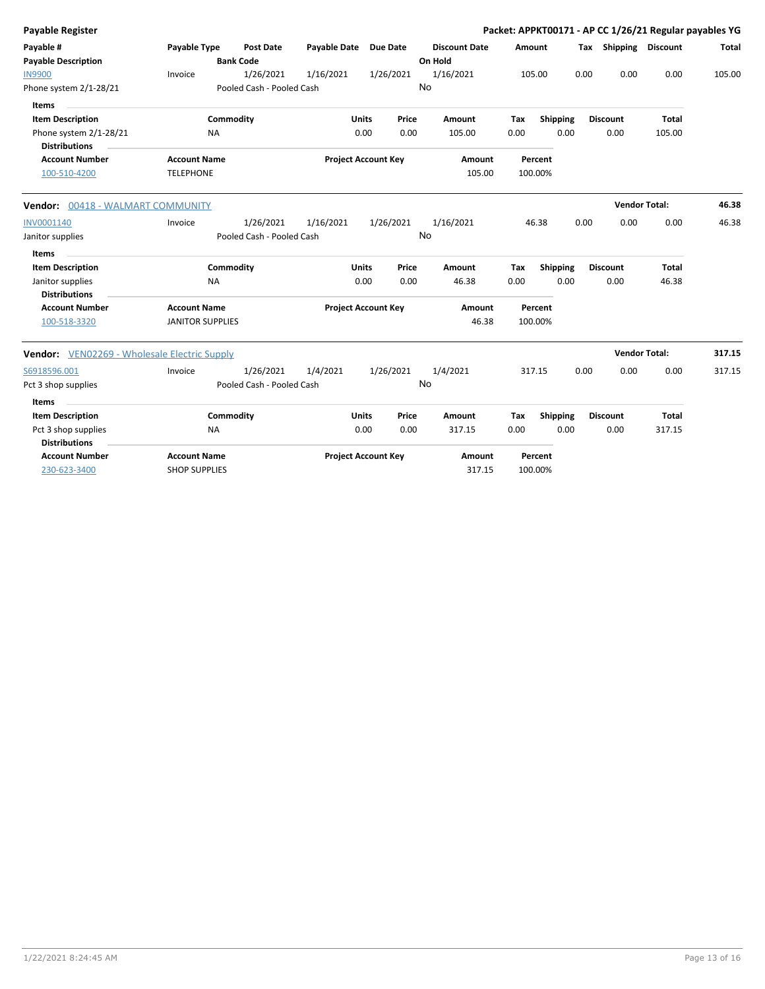| <b>Payable Register</b>                             |                         |                           |                            |              |           |                      |        |                 |      |                       | Packet: APPKT00171 - AP CC 1/26/21 Regular payables YG |        |
|-----------------------------------------------------|-------------------------|---------------------------|----------------------------|--------------|-----------|----------------------|--------|-----------------|------|-----------------------|--------------------------------------------------------|--------|
| Payable #                                           | Payable Type            | Post Date                 | Payable Date Due Date      |              |           | <b>Discount Date</b> | Amount |                 |      | Tax Shipping Discount |                                                        | Total  |
| <b>Payable Description</b>                          |                         | <b>Bank Code</b>          |                            |              |           | On Hold              |        |                 |      |                       |                                                        |        |
| <b>IN9900</b>                                       | Invoice                 | 1/26/2021                 | 1/16/2021                  |              | 1/26/2021 | 1/16/2021            |        | 105.00          | 0.00 | 0.00                  | 0.00                                                   | 105.00 |
| Phone system 2/1-28/21                              |                         | Pooled Cash - Pooled Cash |                            |              |           | No                   |        |                 |      |                       |                                                        |        |
| Items                                               |                         |                           |                            |              |           |                      |        |                 |      |                       |                                                        |        |
| <b>Item Description</b>                             |                         | Commodity                 |                            | <b>Units</b> | Price     | <b>Amount</b>        | Tax    | <b>Shipping</b> |      | <b>Discount</b>       | <b>Total</b>                                           |        |
| Phone system 2/1-28/21                              | <b>NA</b>               |                           |                            | 0.00         | 0.00      | 105.00               | 0.00   | 0.00            |      | 0.00                  | 105.00                                                 |        |
| <b>Distributions</b>                                |                         |                           |                            |              |           |                      |        |                 |      |                       |                                                        |        |
| <b>Account Number</b>                               | <b>Account Name</b>     |                           | <b>Project Account Key</b> |              |           | Amount               |        | Percent         |      |                       |                                                        |        |
| 100-510-4200                                        | <b>TELEPHONE</b>        |                           |                            |              |           | 105.00               |        | 100.00%         |      |                       |                                                        |        |
| Vendor: 00418 - WALMART COMMUNITY                   |                         |                           |                            |              |           |                      |        |                 |      | <b>Vendor Total:</b>  |                                                        | 46.38  |
| INV0001140                                          | Invoice                 | 1/26/2021                 | 1/16/2021                  |              | 1/26/2021 | 1/16/2021            |        | 46.38           | 0.00 | 0.00                  | 0.00                                                   | 46.38  |
| Janitor supplies                                    |                         | Pooled Cash - Pooled Cash |                            |              |           | No                   |        |                 |      |                       |                                                        |        |
| Items                                               |                         |                           |                            |              |           |                      |        |                 |      |                       |                                                        |        |
| <b>Item Description</b>                             |                         | Commodity                 |                            | <b>Units</b> | Price     | Amount               | Tax    | Shipping        |      | <b>Discount</b>       | <b>Total</b>                                           |        |
| Janitor supplies                                    | <b>NA</b>               |                           |                            | 0.00         | 0.00      | 46.38                | 0.00   | 0.00            |      | 0.00                  | 46.38                                                  |        |
| <b>Distributions</b>                                |                         |                           |                            |              |           |                      |        |                 |      |                       |                                                        |        |
| <b>Account Number</b>                               | <b>Account Name</b>     |                           | <b>Project Account Key</b> |              |           | Amount               |        | Percent         |      |                       |                                                        |        |
| 100-518-3320                                        | <b>JANITOR SUPPLIES</b> |                           |                            |              |           | 46.38                |        | 100.00%         |      |                       |                                                        |        |
| <b>Vendor:</b> VEN02269 - Wholesale Electric Supply |                         |                           |                            |              |           |                      |        |                 |      | <b>Vendor Total:</b>  |                                                        | 317.15 |
| S6918596.001                                        | Invoice                 | 1/26/2021                 | 1/4/2021                   |              | 1/26/2021 | 1/4/2021             |        | 317.15          | 0.00 | 0.00                  | 0.00                                                   | 317.15 |
| Pct 3 shop supplies                                 |                         | Pooled Cash - Pooled Cash |                            |              |           | <b>No</b>            |        |                 |      |                       |                                                        |        |
| <b>Items</b>                                        |                         |                           |                            |              |           |                      |        |                 |      |                       |                                                        |        |
| <b>Item Description</b>                             |                         | Commodity                 |                            | <b>Units</b> | Price     | Amount               | Tax    | <b>Shipping</b> |      | <b>Discount</b>       | <b>Total</b>                                           |        |
| Pct 3 shop supplies                                 | <b>NA</b>               |                           |                            | 0.00         | 0.00      | 317.15               | 0.00   | 0.00            |      | 0.00                  | 317.15                                                 |        |
| <b>Distributions</b>                                |                         |                           |                            |              |           |                      |        |                 |      |                       |                                                        |        |
| <b>Account Number</b>                               | <b>Account Name</b>     |                           | <b>Project Account Key</b> |              |           | Amount               |        | Percent         |      |                       |                                                        |        |
| 230-623-3400                                        | <b>SHOP SUPPLIES</b>    |                           |                            |              |           | 317.15               |        | 100.00%         |      |                       |                                                        |        |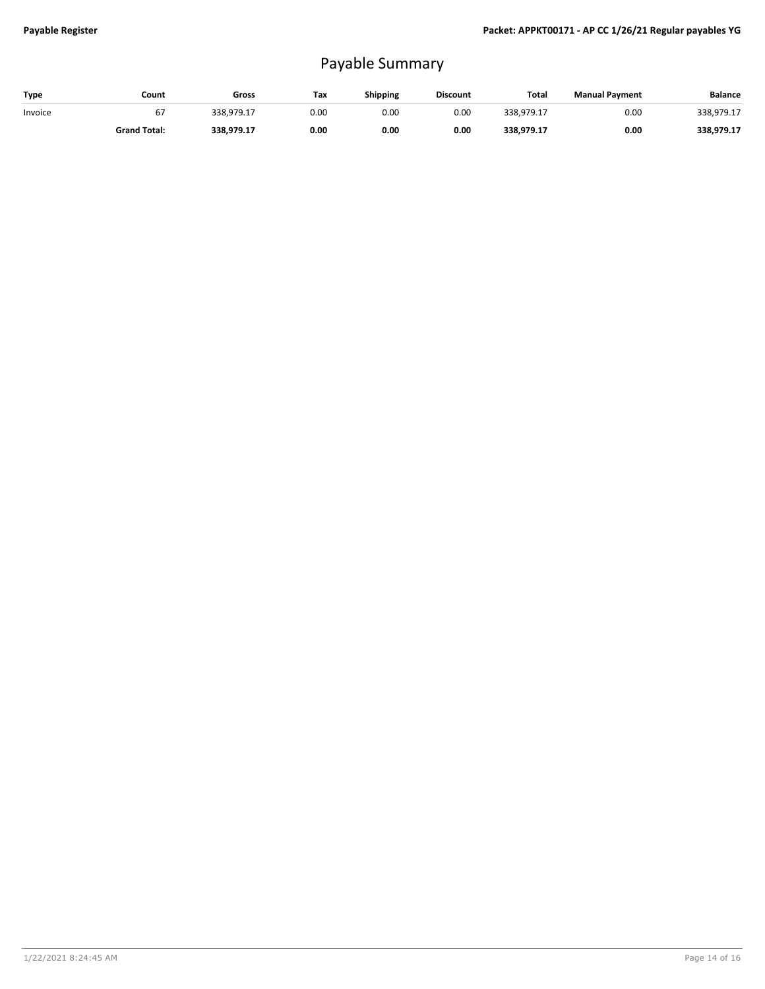# Payable Summary

| Type    | Count               | Gross      | Tax  | Shipping | <b>Discount</b> | Total      | <b>Manual Payment</b> | <b>Balance</b> |
|---------|---------------------|------------|------|----------|-----------------|------------|-----------------------|----------------|
| Invoice | 67                  | 338.979.17 | 0.00 | 0.00     | 0.00            | 338.979.17 | 0.00                  | 338.979.17     |
|         | <b>Grand Total:</b> | 338.979.17 | 0.00 | 0.00     | 0.00            | 338.979.17 | 0.00                  | 338.979.17     |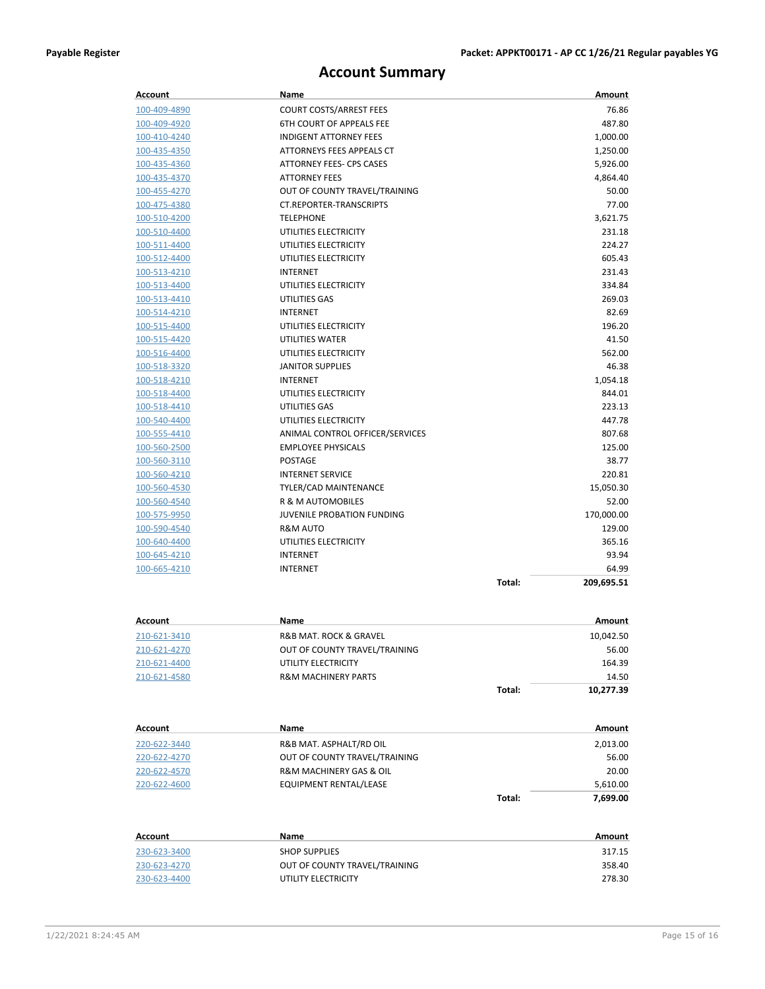## **Account Summary**

| Account                      | Name                              |        | Amount     |
|------------------------------|-----------------------------------|--------|------------|
| 100-409-4890                 | <b>COURT COSTS/ARREST FEES</b>    |        | 76.86      |
| 100-409-4920                 | <b>6TH COURT OF APPEALS FEE</b>   |        | 487.80     |
| 100-410-4240                 | <b>INDIGENT ATTORNEY FEES</b>     |        | 1,000.00   |
| 100-435-4350                 | ATTORNEYS FEES APPEALS CT         |        | 1,250.00   |
| 100-435-4360                 | <b>ATTORNEY FEES- CPS CASES</b>   |        | 5,926.00   |
| 100-435-4370                 | <b>ATTORNEY FEES</b>              |        | 4,864.40   |
| 100-455-4270                 | OUT OF COUNTY TRAVEL/TRAINING     |        | 50.00      |
| 100-475-4380                 | <b>CT.REPORTER-TRANSCRIPTS</b>    |        | 77.00      |
| 100-510-4200                 | <b>TELEPHONE</b>                  |        | 3,621.75   |
| 100-510-4400                 | UTILITIES ELECTRICITY             |        | 231.18     |
| 100-511-4400                 | UTILITIES ELECTRICITY             |        | 224.27     |
| 100-512-4400                 | UTILITIES ELECTRICITY             |        | 605.43     |
| 100-513-4210                 | <b>INTERNET</b>                   |        | 231.43     |
| 100-513-4400                 | UTILITIES ELECTRICITY             |        | 334.84     |
| 100-513-4410                 | UTILITIES GAS                     |        | 269.03     |
| 100-514-4210                 | <b>INTERNET</b>                   |        | 82.69      |
| 100-515-4400                 | UTILITIES ELECTRICITY             |        | 196.20     |
| 100-515-4420                 | <b>UTILITIES WATER</b>            |        | 41.50      |
| 100-516-4400                 | UTILITIES ELECTRICITY             |        | 562.00     |
| 100-518-3320                 | <b>JANITOR SUPPLIES</b>           |        | 46.38      |
| 100-518-4210                 | <b>INTERNET</b>                   |        | 1,054.18   |
| 100-518-4400                 | UTILITIES ELECTRICITY             |        | 844.01     |
| 100-518-4410                 | <b>UTILITIES GAS</b>              |        | 223.13     |
| 100-540-4400                 | UTILITIES ELECTRICITY             |        | 447.78     |
| 100-555-4410                 | ANIMAL CONTROL OFFICER/SERVICES   |        | 807.68     |
| 100-560-2500                 | <b>EMPLOYEE PHYSICALS</b>         |        | 125.00     |
| 100-560-3110                 | <b>POSTAGE</b>                    |        | 38.77      |
| 100-560-4210                 | <b>INTERNET SERVICE</b>           |        | 220.81     |
| 100-560-4530                 | TYLER/CAD MAINTENANCE             |        | 15,050.30  |
| <u>100-560-4540</u>          | R & M AUTOMOBILES                 |        | 52.00      |
| 100-575-9950                 | <b>JUVENILE PROBATION FUNDING</b> |        | 170,000.00 |
| 100-590-4540                 | R&M AUTO                          |        | 129.00     |
| 100-640-4400                 | UTILITIES ELECTRICITY             |        | 365.16     |
| 100-645-4210                 | <b>INTERNET</b>                   |        | 93.94      |
| 100-665-4210                 | <b>INTERNET</b>                   |        | 64.99      |
|                              |                                   | Total: | 209,695.51 |
|                              |                                   |        |            |
| Account                      | Name                              |        | Amount     |
| 210-621-3410                 | R&B MAT. ROCK & GRAVEL            |        | 10,042.50  |
| 210-621-4270                 | OUT OF COUNTY TRAVEL/TRAINING     |        | 56.00      |
| 210-621-4400                 | UTILITY ELECTRICITY               |        | 164.39     |
| 210-621-4580                 | <b>R&amp;M MACHINERY PARTS</b>    |        | 14.50      |
|                              |                                   | Total: |            |
|                              |                                   |        | 10,277.39  |
| Account                      | Name                              |        | Amount     |
| 220-622-3440                 | R&B MAT. ASPHALT/RD OIL           |        | 2,013.00   |
|                              | OUT OF COUNTY TRAVEL/TRAINING     |        | 56.00      |
| 220-622-4270                 | R&M MACHINERY GAS & OIL           |        | 20.00      |
| 220-622-4570<br>220-622-4600 | EQUIPMENT RENTAL/LEASE            |        | 5,610.00   |
|                              |                                   | Total: |            |
|                              |                                   |        | 7,699.00   |

| Account      | Name                          | Amount |
|--------------|-------------------------------|--------|
| 230-623-3400 | <b>SHOP SUPPLIES</b>          | 317.15 |
| 230-623-4270 | OUT OF COUNTY TRAVEL/TRAINING | 358.40 |
| 230-623-4400 | UTILITY ELECTRICITY           | 278.30 |